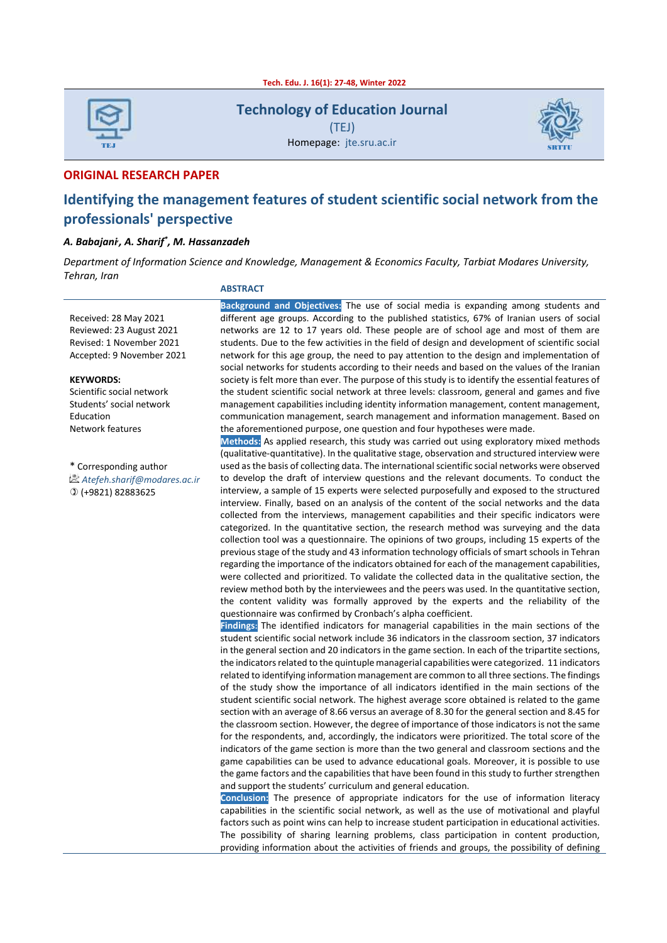

**Technology of Education Journal**

(TEJ) Homepage: jte.sru.ac.ir



#### **ORIGINAL RESEARCH PAPER**

# **Identifying the management features of student scientific social network from the professionals' perspective**

#### *A. Babajani, , A. Sharif\* , M. Hassanzadeh*

*Department of Information Science and Knowledge, Management & Economics Faculty, Tarbiat Modares University, Tehran, Iran*

### **ABSTRACT**

Received: 28 May 2021 Reviewed: 23 August 2021 Revised: 1 November 2021 Accepted: 9 November 2021

#### **KEYWORDS:**

Scientific social network Students' social network Education Network features

\* Corresponding author *Atefeh.sharif@modares.ac.ir* (+9821) 82883625

**Background and Objectives:** The use of social media is expanding among students and different age groups. According to the published statistics, 67% of Iranian users of social networks are 12 to 17 years old. These people are of school age and most of them are students. Due to the few activities in the field of design and development of scientific social network for this age group, the need to pay attention to the design and implementation of social networks for students according to their needs and based on the values of the Iranian society is felt more than ever. The purpose of this study is to identify the essential features of the student scientific social network at three levels: classroom, general and games and five management capabilities including identity information management, content management, communication management, search management and information management. Based on the aforementioned purpose, one question and four hypotheses were made.

**Methods:** As applied research, this study was carried out using exploratory mixed methods (qualitative-quantitative). In the qualitative stage, observation and structured interview were used as the basis of collecting data. The international scientific social networks were observed to develop the draft of interview questions and the relevant documents. To conduct the interview, a sample of 15 experts were selected purposefully and exposed to the structured interview. Finally, based on an analysis of the content of the social networks and the data collected from the interviews, management capabilities and their specific indicators were categorized. In the quantitative section, the research method was surveying and the data collection tool was a questionnaire. The opinions of two groups, including 15 experts of the previous stage of the study and 43 information technology officials of smart schools in Tehran regarding the importance of the indicators obtained for each of the management capabilities, were collected and prioritized. To validate the collected data in the qualitative section, the review method both by the interviewees and the peers was used. In the quantitative section, the content validity was formally approved by the experts and the reliability of the questionnaire was confirmed by Cronbach's alpha coefficient.

**Findings:** The identified indicators for managerial capabilities in the main sections of the student scientific social network include 36 indicators in the classroom section, 37 indicators in the general section and 20 indicators in the game section. In each of the tripartite sections, the indicators related to the quintuple managerial capabilities were categorized. 11 indicators related to identifying information management are common to all three sections. The findings of the study show the importance of all indicators identified in the main sections of the student scientific social network. The highest average score obtained is related to the game section with an average of 8.66 versus an average of 8.30 for the general section and 8.45 for the classroom section. However, the degree of importance of those indicators is not the same for the respondents, and, accordingly, the indicators were prioritized. The total score of the indicators of the game section is more than the two general and classroom sections and the game capabilities can be used to advance educational goals. Moreover, it is possible to use the game factors and the capabilities that have been found in this study to further strengthen and support the students' curriculum and general education.

**Conclusion:** The presence of appropriate indicators for the use of information literacy capabilities in the scientific social network, as well as the use of motivational and playful factors such as point wins can help to increase student participation in educational activities. The possibility of sharing learning problems, class participation in content production, providing information about the activities of friends and groups, the possibility of defining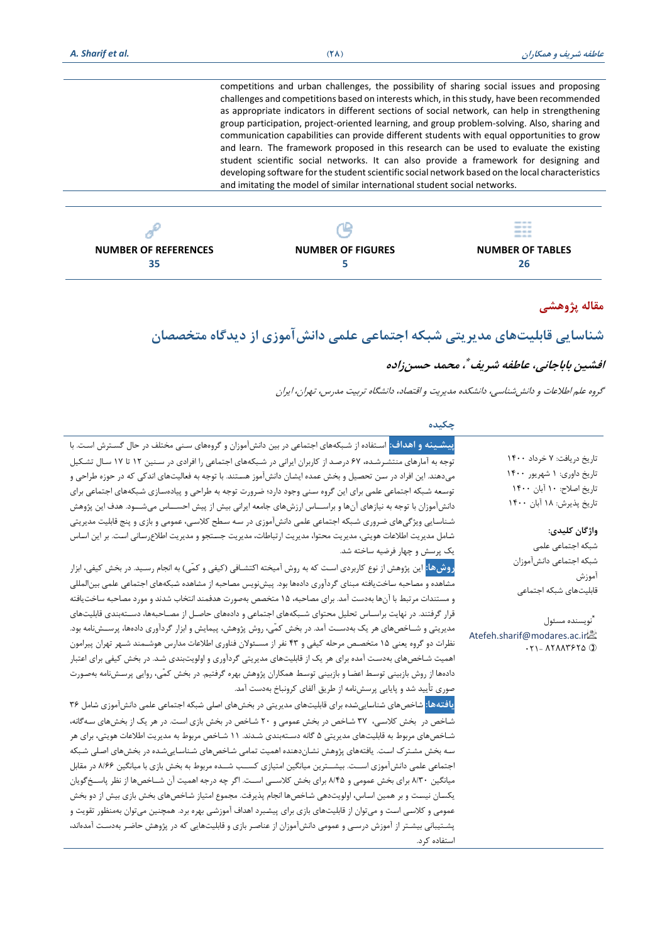**NUMBER OF REFERENCES 35**

| competitions and urban challenges, the possibility of sharing social issues and proposing<br>challenges and competitions based on interests which, in this study, have been recommended<br>as appropriate indicators in different sections of social network, can help in strengthening<br>group participation, project-oriented learning, and group problem-solving. Also, sharing and<br>communication capabilities can provide different students with equal opportunities to grow<br>and learn. The framework proposed in this research can be used to evaluate the existing<br>student scientific social networks. It can also provide a framework for designing and<br>developing software for the student scientific social network based on the local characteristics<br>and imitating the model of similar international student social networks. |  |
|------------------------------------------------------------------------------------------------------------------------------------------------------------------------------------------------------------------------------------------------------------------------------------------------------------------------------------------------------------------------------------------------------------------------------------------------------------------------------------------------------------------------------------------------------------------------------------------------------------------------------------------------------------------------------------------------------------------------------------------------------------------------------------------------------------------------------------------------------------|--|
|                                                                                                                                                                                                                                                                                                                                                                                                                                                                                                                                                                                                                                                                                                                                                                                                                                                            |  |

**NUMBER OF FIGURES 5**

| 26 |  |
|----|--|
|    |  |

**NUMBER OF TABLES**

# **مقاله پژوهشی**

# **شناسایی قابلیتهای مدیریتی شبکه اجتماعی علمی دانشآموزی از دیدگاه متخصصان**

# **افشین باباجانی، عاطفه شریف \* ، محمد حسنزاده**

گروه علم اطالعات و دانششناسی، دانشکده مدیریت و اقتصاد، دانشگاه تربیت مدرس، تهران، ایران

استفاده کرد.

| چکىدە                                                                                                                       |                                                                                              |
|-----------------------------------------------------------------------------------------------------------------------------|----------------------------------------------------------------------------------------------|
| <mark>پیشینه و اهداف:</mark> استفاده از شبکههای اجتماعی در بین دانشآموزان و گروههای سنی مختلف در حال گسترش است. با          |                                                                                              |
| توجه به آمارهای منتشـرشـده، ۶۷ درصـد از کاربران ایرانی در شـبکههای اجتماعی را افرادی در سـنین ۱۲ تا ۱۷ سـال تشـکیل          | تاریخ دریافت: ۷ خرداد ۱۴۰۰                                                                   |
| میدهند. این افراد در سن تحصیل و بخش عمده ایشان دانشآموز هستند. با توجه به فعالیتهای اندکی که در حوزه طراحی و                | تاریخ داوری: ۱ شهریور ۱۴۰۰                                                                   |
| توسعه شبکه اجتماعی علمی برای این گروه سنی وجود دارد؛ ضرورت توجه به طراحی و پیادهسازی شبکههای اجتماعی برای                   | تاريخ اصلاح: ١٠ آبان ١۴٠٠                                                                    |
| دانشآموزان با توجه به نیازهای آنها و براســـاس ارزشهای جامعه ایرانی بیش از پیش احســــاس میشـــود. هدف این پژوهش            | تاریخ پذیرش: ۱۸ آبان ۱۴۰۰                                                                    |
| شناسایی ویژگیهای ضروری شبکه اجتماعی علمی دانش آموزی در سه سطح کلاسی، عمومی و بازی و پنج قابلیت مدیریتی                      |                                                                                              |
| شامل مدیریت اطلاعات هویتی، مدیریت محتوا، مدیریت ارتباطات، مدیریت جستجو و مدیریت اطلاعرسانی است. بر این اساس                 | واژگان كليدى:                                                                                |
| یک پرسش و چهار فرضیه ساخته شد.                                                                                              | شبكه اجتماعى علمى                                                                            |
| <mark>روشها:</mark> این پژوهش از نوع کاربردی است که به روش آمیخته اکتشـافی (کیفی و کمّی) به انجام رسـید. در بخش کیفی، ابزار | شبكه اجتماعي دانشآموزان                                                                      |
| مشاهده و مصاحبه ساخت یافته مبنای گردآوری دادهها بود. پیشنویس مصاحبه از مشاهده شبکههای اجتماعی علمی بینالمللی                | أموزش<br>قابليتهاى شبكه اجتماعى                                                              |
| و مستندات مرتبط با آنها بهدست آمد. برای مصاحبه، ۱۵ متخصص بهصورت هدفمند انتخاب شدند و مورد مصاحبه ساخت یافته                 |                                                                                              |
| قرار گرفتند. در نهایت براسـاس تحلیل محتوای شـبکههای اجتماعی و دادههای حاصـل از مصــاحبهها، دســتهبندی قابلیتهای             | أنويسنده مسئول                                                                               |
| مدیریتی و شــاخصهای هر یک بهدســت آمد. در بخش کمّی، روش پژوهش، پیمایش و ابزار گردآوری دادهها، پرســشiامه بود.               | Atefeh.sharif@modares.ac.ir                                                                  |
| نظرات دو گروه یعنی ۱۵ متخصـص مرحله کیفی و ۴۳ نفر از مسـئولان فناوری اطلاعات مدارس هوشـمند شـهر تهران پیرامون                | $\cdot$ $\uparrow$ ) = $\upLambda$ $\upLambda$ $\upLambda$ $\uparrow$ $\uparrow$ $\upLambda$ |
| اهمیت شـاخصهای بهدست آمده برای هر یک از قابلیتهای مدیریتی گردآوری و اولویتبندی شـد. در بخش کیفی برای اعتبار                 |                                                                                              |
| دادهها از روش بازبینی توسط اعضا و بازبینی توسط همکاران پژوهش بهره گرفتیم. در بخش کمّی، روایی پرسشنامه بهصورت                |                                                                                              |
| صوری تأیید شد و پایایی پرسشنامه از طریق آلفای کرونباخ بهدست آمد.                                                            |                                                                                              |
| <mark>یافتهها:</mark> شاخصهای شناساییشده برای قابلیتهای مدیریتی در بخشهای اصلی شبکه اجتماعی علمی دانش آموزی شامل ۳۶         |                                                                                              |
| شاخص در بخش کلاسی، ۳۷ شاخص در بخش عمومی و ۲۰ شاخص در بخش بازی است. در هر یک از بخشهای سهگانه،                               |                                                                                              |
| شـاخصهای مربوط به قابلیتهای مدیریتی ۵ گانه دسـتهبندی شـدند. ۱۱ شـاخص مربوط به مدیریت اطلاعات هویتی، برای هر                 |                                                                                              |
| سه بخش مشترک است. یافتههای پژوهش نشاندهنده اهمیت تمامی شاخصهای شناساییشده در بخشهای اصلی شبکه                               |                                                                                              |
| اجتماعی علمی دانش آموزی اسـت. بیشــترین میانگین امتیازی کسـب شــده مربوط به بخش بازی با میانگین ۸/۶۶ در مقابل               |                                                                                              |
| میانگین ۸/۳۰ برای بخش عمومی و ۸/۴۵ برای بخش کلاســی اســت. اگر چه درجه اهمیت آن شــاخصها از نظر پاســخ&ویان                 |                                                                                              |
| یکسان نیست و بر همین اساس، اولویتدهی شاخصها انجام پذیرفت. مجموع امتیاز شاخصهای بخش بازی بیش از دو بخش                       |                                                                                              |
| عمومی و کلاسی است و میتوان از قابلیتهای بازی برای پیشبرد اهداف آموزشی بهره برد. همچنین میتوان بهمنظور تقویت و               |                                                                                              |
| پشـتیبانی بیشـتر از آموزش درسـی و عمومی دانش موزان از عناصـر بازی و قابلیتهایی که در پژوهش حاضـر بهدسـت آمدهاند،            |                                                                                              |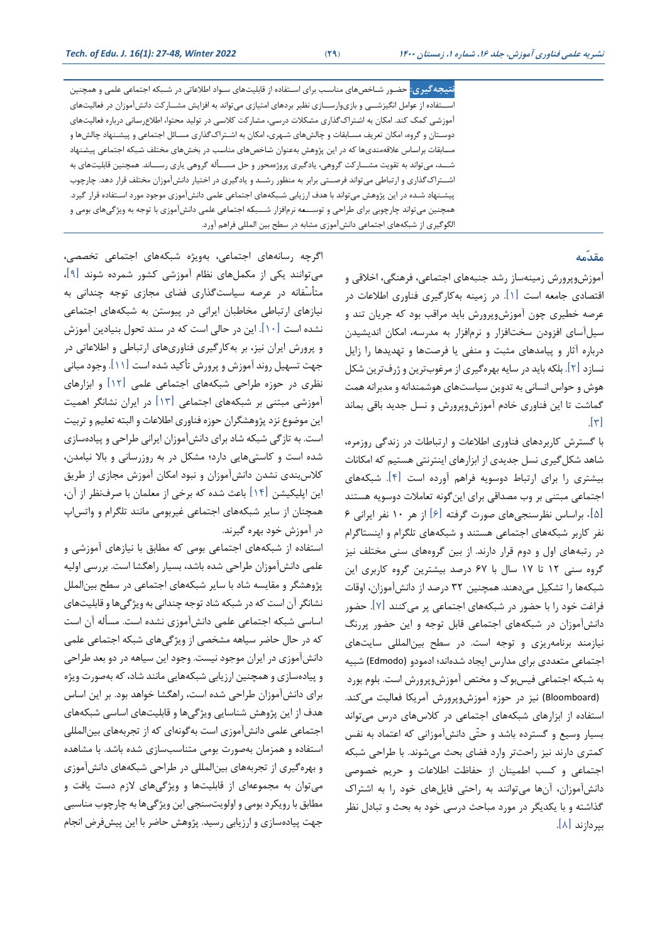<mark>نتیجه *گ*یری:</mark> حضـور شـاخصهای مناسـب برای اسـتفاده از قابلیتهای سـواد اطلاعاتی در شـبکه اجتماعی علمی و همچنین اســتفاده از عوامل انگیزشـــی و بازیوارســـازی نظیر بردهای امتیازی میتواند به افزایش مشـــار *کت* دانشآموزان در فعالیتهای آموزشی کمک کند. امکان به اشتراک گذاری مشکلات درسی، مشارکت کلاسی در تولید محتوا، اطلاع رسانی درباره فعالیتهای دوستان و گروه، امکان تعریف مسـابقات و چالشهای شـهری، امکان به اشـتراک\$ذاری مسـائل اجتماعی و پیشـنهاد چالشها و مسابقات براساس علاقهمندیها که در این پژوهش بهعنوان شاخصهای مناسب در بخشهای مختلف شبکه اجتماعی پیشنهاد شـــد، میتواند به تقویت مشـــارکت گروهی، یادگیری پروژهمحور و حل مســـأله گروهی یاری رســـاند. همچنین قابلیتهای به اشتراکگذاری و ارتباطی میتواند فرصتی برابر به منظور رشـد و یادگیری در اختیار دانشآموزان مختلف قرار دهد. چارچوب پیشـنهاد شـده در این پژوهش میتواند با هدف ارزیابی شـبکههای اجتماعی علمی دانشآموزی موجود مورد اسـتفاده قرار گیرد. همچنین میتواند چارچوبی برای طراحی و توســـعه نرمافزار شـــبکه اجتماعی علمی دانشآموزی با توجه به ویژگیهای بومی و الگوگیری از شبکههای اجتماعی دانشآموزی مشابه در سطح بین المللی فراهم آورد.

## **مقدّمه**

آموزش وپرورش زمینه ساز رشد جنبه های اجتماعی، فرهنگی، اخالقی و اقتصادی جامعه است  $\vert\hspace{.04cm} \vert$ . در زمینه به کارگیری فناوری اطلاعات در عرصه خطیری چون آموزش وپرورش باید مراقب بود که جریان تند و سیل آسای افزودن سخت افزار و نرمافزار به مدرسه، امکان اندیشیدن درباره آثار و پیامدهای مثبت و منفی یا فرصتها و تهدیدها را زایل نسازد [۲]. بلکه باید در سایه بهرهگیری از مرغوبترین و ژرفترین شکل هوش و حواس انسانی به تدوین سیاستهای هوشمندانه و مدبرانه همت گماشت تا این فناوری خادم آموزش وپرورش و نس جدید باقی بماند  $[\n\pi]$ 

با گسترش ااربردهای فناوری اطالعات و ارتباطات در زندگی روزمره، شاهد شکل گیری نسل جدیدی از ابزارهای اینترنتی هستیم که امکانات بیشتری را برای ارتباط دوسویه فراهم آورده است ]4[ا شبکه های اجتماعی مبتنی بر وب مصداقی برای اینگونه تاامالت دوسویه هستند ]5[. براساس نظرسن ی های صورت گرفته ]6[ از هر 10 نار ایرانی 6 نفر کاربر شبکههای اجتماعی هستند و شبکههای تلگرام و اینستاگرام در رتبههای اول و دوم قرار دارند. از بین گروههای سنی مختلف نیز گروه سنی 12 تا 17 سال با 67 درصد بیشترین گروه ااربری این شبکهها را تشکیل میدهند. همچنین ۳۲ درصد از دانشآموزان، اوقات فراغت خود را با حضور در شبکههای اجتماعی پر می کنند [۷]. حضور دانش آموزان در شبکههای اجتماعی قابل توجه و این حضور پررنگ نیازمند برنامهریزی و توجه است. در سطح بین المللی سایتهای اجتماعی متعددی برای مدارس ایجاد شدهاند؛ ادمودو (Edmodo) شبیه به شبکه اجتماعی فیس بوک و مختص آموزش وپرورش است. بلوم بورد (Bloomboard) نیز در حوزه آموزش وپرورش آمریکا فعالیت میکند. استفاده از ابزارهای شبکههای اجتماعی در کلاسهای درس می تواند بسیار وسیع و گسترده باشد و حتّی دانشآموزانی که اعتماد به نفس کمتری دارند نیز راحتتر وارد فضای بحث میشوند. با طراحی شبکه اجتماعی و کسب اطمینان از حفاظت اطلاعات و حریم خصوصی دانش آموزان، آنها می توانند به راحتی فایل های خود را به اشتراک گذاشته و با یکدیگر در مورد مباحث درسی خود به بحث و تبادل نظر بپردازند ]8[ا

اگرچه رسانه های اجتماعی، بهویشه شبکههای اجتماعی تتصصی، میتوانند یکی از مکملهای نظام آموزشی کشور شمرده شوند  $\lceil \cdot \rceil$ ، متأسّفانه در عرصه سیاستگذاری فضای مجازی توجه چندانی به نیازهای ارتباطی متاطبان ایرانی در پیوستن به شبکههای اجتماعی نشده است  $[1\cdot]$  این در حالی است که در سند تحول بنیادین آموزش و پرورش ایران نیز، بر بهاارگیری فناوری های ارتباطی و اطالعاتی در جهت تسهیل روند آموزش و پرورش تأکید شده است [۱۱]. وجود مبانی نظری در حوزه طراحی شبکههای اجتماعی علمی  $[11]$  و ابزارهای آموزشی مبتنی بر شبکههای اجتماعی ]13[ در ایران نشانگر اهمیت این موضوع نزد پژوهشگران حوزه فناوری اطلاعات و البته تعلیم و تربیت است. به تازگی شبکه شاد برای دانش آموزان ایرانی طراحی و پیادهسازی شده است و کاستیهایی دارد؛ مشکل در به روزرسانی و بالا نیامدن، کلاس بندی نشدن دانش آموزان و نبود امکان آموزش مجازی از طریق این اپلیکیشن  $\lceil \, \mathsf{I} \, \mathsf{I} \, \rceil$  باعث شده که برخی از معلمان با صرف $\cdot$ نظر از آن، همچنان از سایر شبکه های اجتماعی غیربومی مانند تلگرام و واتس اپ در آموزش خود بهره گیرندا

استفاده از شبکههای اجتماعی بومی که مطابق با نیازهای آموزشی و علمی دانش آموزان طراحی شده باشد، بسیار راهگشا است. بررسی اولیه پژوهشگر و مقایسه شاد با سایر شبکههای اجتماعی در سطح بین الملل نشانگر آن است که در شبکه شاد توجه چندانی به ویژگیها و قابلیتهای اساسی شبکه اجتماعی علمی دانش آموزی نشده استا مسأیه آن است که در حال حاضر سیاهه مشخصی از ویژگیهای شبکه اجتماعی علمی دانش آموزی در ایران موجود نیست. وجود این سیاهه در دو بعد طراحی و پیادهسازی و همچنین ارزیابی شبکههایی مانند شاد، که بهصورت ویژه برای دانش آموزان طراحی شده است، راهگشا خواهد بود. بر این اساس هدف از این پژوهش شناسایی ویژگیها و قابلیتهای اساسی شبکههای اجتماعی علمی دانش آموزی است به گونهای که از تجربههای بین المللی استفاده و همزمان به صورت بومی متناسب سازی شده باشد. با مشاهده و بهره گیری از تجربههای بین المللی در طراحی شبکههای دانش آموزی میتوان به مجموعهای از قابلیتها و ویژگیهای لازم دست یافت و مطابق با رویکرد بومی و اولویتسنجی این ویژگیها به چارچوب مناسبی جهت پیادهسازی و ارزیابی رسید. پژوهش حاضر با این پیشفرض انجام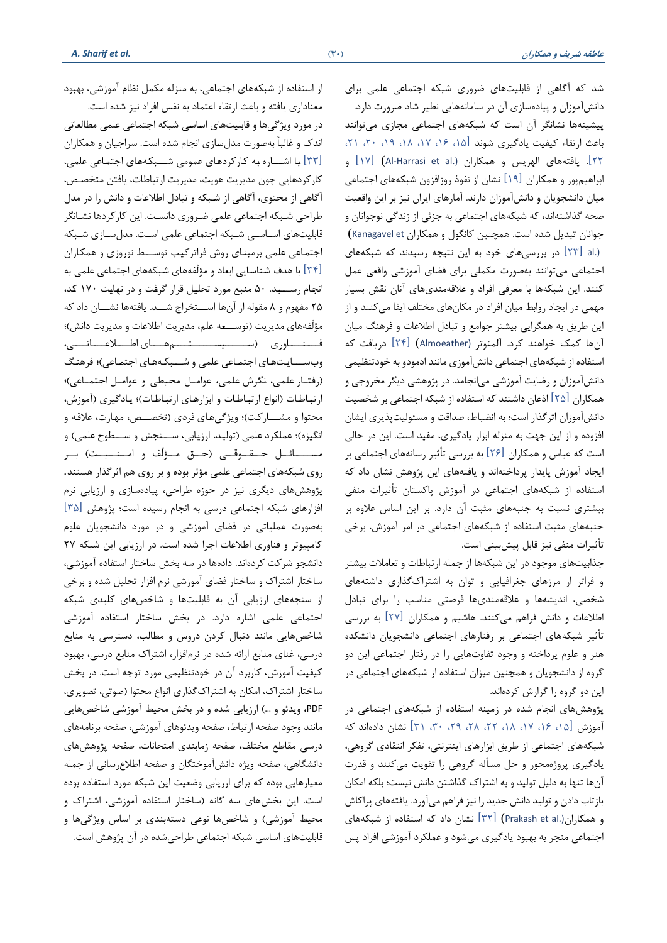شد که آگاهی از قابلیتهای ضروری شبکه اجتماعی علمی برای دانش آموزان و پیاده سازی آن در سامانههایی نظیر شاد ضرورت داردا پیشینهها نشانگر آن است که شبکههای اجتماعی مجازی می توانند باعث ارتقاء کیفیت یادگیری شوند [۱۵، ۱۶، ۱۷، ۱۸، ۱۹، ۲۰، ۲۱، 22[ا یافتههای ایهریس و همکاران (.al et Harrasi-Al[ (17 ]و ابراهیمپور و همکاران ]19[ نشان از ناوذ روزافزون شبکه های اجتماعی میان دانشجویان و دانش آموزان دارند. آمارهای ایران نیز بر این واقعیت صحه گذاشتهاند، که شبکههای اجتماعی به جزئی از زندگی نوجوانان و جوانان تبدیل شده است. همچنین کانگول و همکاران Kanagavel et) (.al [ 23 ]در بررسی های خود به این نتیجه رسیدند که شبکههای اجتماعی میتوانند بهصورت مکملی برای فضای آموزشی واقعی عمل کنند. این شبکهها با معرفی افراد و علاقهمندیهای آنان نقش بسیار مهمی در ایجاد روابط میان افراد در مکانهای مختلف ایفا میکنند و از این طریق به همگرایی بیشتر جوامع و تبادل اطالعات و فرهنگ میان آنها کمک خواهند کرد. آلمئوتر (Almoeather) [۲۴] دریافت که استفاده از شبکههای اجتماعی دانش آموزی مانند ادمودو به خودتنظیمی دانش آموزان و رضایت آموزشی میانجامد. در پژوهشی دیگر مخروجی و همکاران [۲۵] اذعان داشتند که استفاده از شبکه اجتماعی بر شخصیت دانش آموزان اثر گذار است؛ به انضباط، صداقت و مسئولیت پذیری ایشان افزوده و از این جهت به منزله ابزار یادگیری، مفید است. این در حالی است که عباس و همکاران  $\lceil \times \rceil$  به بررسی تأثیر رسانههای اجتماعی بر ایجاد آموزش پایدار پرداختهاند و یافتههای این پژوهش نشان داد که استفاده از شبکههای اجتماعی در آموزش پاکستان تأثیرات منفی بیشتری نسبت به جنبههای مثبت آن داردا بر این اساس عالوه بر جنبههای مثبت استااده از شبکه های اجتماعی در امر آموزش، برخی تأثیرات منفی نیز قابل پیشبینی است.

جذابیت های موجود در این شبکه ها از جمله ارتباطات و تاامالت بیشتر و فراتر از مرزهای جغرافیایی و توان به اشتراک گذاری داشتههای شتصی، اندیشه ها و عالقهمندی ها فرصتی مناسم را برای تبادل اطالعات و دانش فراهم می انندا هاشیم و همکاران ]27[ به بررسی تأثیر شبکههای اجتماعی بر رفتارهای اجتماعی دانش ویان دانشکده هنر و علوم پرداخته و وجود تااوت هایی را در رفتار اجتماعی این دو گروه از دانشجویان و همچنین میزان استفاده از شبکههای اجتماعی در این دو گروه را گزارش کردهاند.

پژوهش های انجام شده در زمینه استفاده از شبکههای اجتماعی در آموزش ]،15 ،16 ،17 ،18 ،22 ،28 ،29 ،30 31[ نشان دادهاند اه شبکه های اجتماعی از طریق ابزارهای اینترنتی، تاکر انتقادی گروهی، یادگیری پروژهمحور و حل مسأله گروهی را تقویت می کنند و قدرت آنها تنها به دلیل تولید و به اشتراک گذاشتن دانش نیست؛ بلکه امکان بازتاب دادن و تویید دانش جدید را نیز فراهم میآوردا یافتههای پراااش و همکاران(.Prakash et al) [۳۲] نشان داد که استفاده از شبکههای اجتماعی منجر به بهبود یادگیری میشود و عملکرد آموزشی افراد پس

از استفاده از شبکههای اجتماعی، به منزله مکمل نظام آموزشی، بهبود معناداری یافته و باعث ارتقاء اعتماد به نفس افراد نیز شده است. در مورد ویژگیها و قابلیتهای اساسی شبکه اجتماعی علمی مطالعاتی اندک و غالباً بهصورت مدل سازی انجام شده است. سراجیان و همکاران ]33[ بتا اشتتتاره بته اتاراردهتای عمومی شتتتبکتههتای اجتمتاعی علمی، کارکردهایی چون مدیریت هویت، مدیریت ارتباطات، یافتن متخصص، آگاهی از مصتوی، آگاهی از شتبکه و تبادل اطالعات و دانش را در مدل طراحی شبکه اجتماعی علمی ضروری دانست. این کارکردها نشـانگر قابلیتهای اساسی شبکه اجتماعی علمی است. مدلسازی شبکه اجتماعی علمی برمبنای روش فراترکیب توســط نوروزی و همکاران ]34[ با هدی شتناستایی ابااد و مؤیّاههای شتبکههای اجتماعی علمی به انجام رستید. ۵۰ منبع مورد تحلیل قرار گرفت و در نهایت ۱۷۰ کد، ۲۵ مفهوم و ۸ مقوله از آنها اســتخراج شــد. یافتهها نشــان داد که مؤلّفههای مدیریت (توســـعه علم، مدیریت اطلاعات و مدیریت دانش)؛ فتتتاوری (ستتستتیمهتای اطتلاعتاتتی، وبســـایتهای اجتماعی علمی و شـــبکـههای اجتماعی)؛ فرهنگ (رفتتار علمی، نگرش علمی، عوامتل محیطی و عوامتل اجتمناعی)؛ ارتباطات (انواع ارتباطات و ابزارهای ارتباطات)؛ یادگیری (آموزش، محتوا و مشـــارکت)؛ ویژگیهای فردی (تخصـــص، مهارت، علاقه و انگیزه)؛ عملکرد علمی (تولید، ارزیابی، ســـنجش و ســـطوح علمی) و مستــائــل حــقــوقــی (حــق مــؤلّف و امــنــيــت) بــر روی شبکههای اجتماعی علمی مؤثر بوده و بر روی هم اثرگذار هستند. پژوهش های دیگری نیز در حوزه طراحی، پیادهسازی و ارزیابی نرم افزارهای شبکه اجتماعی درسی به انجام رسیده است؛ پژوهش [۳۵] بهصورت عملیاتی در فضای آموزشی و در مورد دانشجویان علوم کامپیوتر و فناوری اطلاعات اجرا شده است. در ارزیابی این شبکه ٢٧ دانشجو شرکت کردهاند. دادهها در سه بخش ساختار استفاده آموزشی، ساختار اشتراک و ساختار فضای آموزشی نرم افزار تحلیل شده و برخی از سنجههای ارزیابی آن به قابلیتها و شاخصهای کلیدی شبکه اجتماعی علمی اشاره دارد. در بخش ساختار استفاده آموزشی شاخصهایی مانند دنبال کردن دروس و مطالب، دسترسی به منابع درسی، غنای منابع ارائه شده در نرمافزار، اشتراک منابع درسی، بهبود کیفیت آموزش، کاربرد آن در خودتنظیمی مورد توجه است. در بخش ساختار اشتراک، امکان به اشتراک گذاری انواع محتوا (صوتی، تصویری، PDF، ویدئو و …) ارزیابی شده و در بخش محیط آموزشی شاخصهایی مانند وجود صفحه ارتباط، صفحه ویدئوهای آموزشی، صفحه برنامههای درسی مقاطع مختلف، صفحه زمابندی امتحانات، صفحه پژوهشهای دانشگاهی، صفحه ویژه دانشآموختگان و صفحه اطلاع رسانی از جمله معیارهایی بوده که برای ارزیابی وضعیت این شبکه مورد استفاده بوده است. این بخش های سه گانه (ساختار استفاده آموزشی، اشتراک و محیط آموزشی) و شاخصها نوعی دستهبندی بر اساس ویژگیها و قابلیتهای اساسی شبکه اجتماعی طراحیشده در آن پژوهش است.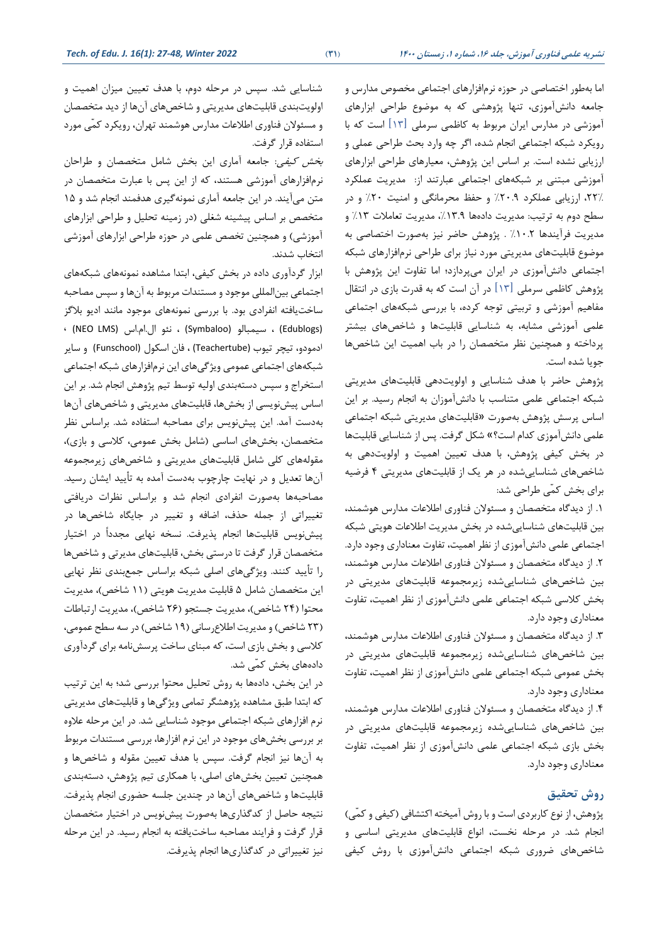اما به طور اختصاصی در حوزه نرمافزارهای اجتماعی مخصوص مدارس و جامعه دانش آموزی، تنها پژوهشی که به موضوع طراحی ابزارهای آموزشی در مدارس ایران مربوط به کاظمی سرملی [۱۳] است که با رویکرد شبکه اجتماعی انجام شده، اگر چه وارد بحث طراحی عملی و ارزیابی نشده است. بر اساس این پژوهش، معیارهای طراحی ابزارهای آموزشی مبتنی بر شبکه های اجتماعی عبارتند از: مدیریت عملکرد ،21٪ ارزیابی عملکرد ۲۰.۹٪ و حفظ محرمانگی و امنیت ۲۰٪ و در سطح دوم به ترتیب: مدیریت دادهها ١٣.٩٪، مدیریت تعاملات ١٣٪ و مدیریت فرآیندها ۱۰.۲٪ . پژوهش حاضر نیز بهصورت اختصاصی به موضوع قابلیتهای مدیریتی مورد نیاز برای طراحی نرمافزارهای شبکه اجتماعی دانش آموزی در ایران می پردازد؛ اما تفاوت این پژوهش با پژوهش کاظمی سرملی  $\lceil \mathfrak{N} \rceil$  در آن است که به قدرت بازی در انتقال مفاهیم آموزشی و تربیتی توجه کرده، با بررسی شبکههای اجتماعی علمی آموزشی مشابه، به شناسایی قابلیتها و شاخصهای بیشتر پرداخته و همچنین نظر متتصصان را در باب اهمیت این شاخص ها جویا شده استا

پژوهش حاضر با هدف شناسایی و اولویتدهی قابلیتهای مدیریتی شبکه اجتماعی علمی متناسب با دانش آموزان به انجام رسید. بر این اساس پرسش پشوهش بهصورت »قابلیتهای مدیریتی شبکه اجتماعی علمی دانش آموزی کدام است؟» شکل گرفت. پس از شناسایی قابلیتها در بخش کیفی پژوهش، با هدف تعیین اهمیت و اولویتدهی به شاخص های شناسایی شده در هر یک از قابلیت های مدیریتی 4 فرضیه برای بخش کمّی طراحی شد:

1ا از دیدگاه متتصصان و مسئو ن فناوری اطالعات مدارس هوشمند، بین قابلیتهای شناساییشده در بتش مدیریت اطالعات هویتی شبکه اجتماعی علمی دانش آموزی از نظر اهمیت، تفاوت معناداری وجود دارد. 2ا از دیدگاه متتصصان و مسئو ن فناوری اطالعات مدارس هوشمند، بین شاخصهای شناساییشده زیرمجموعه قابلیتهای مدیریتی در بخش کلاسی شبکه اجتماعی علمی دانش آموزی از نظر اهمیت، تفاوت معناداری وجود دارد.

3ا از دیدگاه متتصصان و مسئو ن فناوری اطالعات مدارس هوشمند، بین شاخصهای شناساییشده زیرمجموعه قابلیتهای مدیریتی در بتش عمومی شبکه اجتماعی علمی دانش آموزی از نظر اهمیت، تااوت معناداری وجود دارد.

4ا از دیدگاه متتصصان و مسئو ن فناوری اطالعات مدارس هوشمند ، بین شاخصهای شناساییشده زیرمجموعه قابلیتهای مدیریتی در بتش بازی شبکه اجتماعی علمی دانش آموزی از نظر اهمیت، تااوت معناداری وجود دارد.

# **روش تحقیق**

پژوهش، از نوع کاربردی است و با روش آمیخته اکتشافی (کیفی و کمّی) انجام شد. در مرحله نخست، انواع قابلیتهای مدیریتی اساسی و شاخصهای ضروری شبکه اجتماعی دانشآموزی با روش کیفی

شناسایی شد. سپس در مرحله دوم، با هدف تعیین میزان اهمیت و اویویت بندی قابلیت های مدیریتی و شاخص های آن ها از دید متتصصان و مسئولان فناوری اطلاعات مدارس هوشمند تهران، رویکرد کمّی مورد استفاده قرار گرفت.

بخش كيفي: جامعه آماری این بخش شامل متخصصان و طراحان نرمافزارهای آموزشی هستند، که از این پس با عبارت متخصصان در متن میآیند. در این جامعه آماری نمونهگیری هدفمند انجام شد و ۱۵ متخصص بر اساس پیشینه شغلی (در زمینه تحلیل و طراحی ابزارهای آموزشی) و همچنین تخصص علمی در حوزه طراحی ابزارهای آموزشی انتخاب شدند.

ابزار گردآوری داده در بخش کیفی، ابتدا مشاهده نمونههای شبکههای اجتماعی بینایمللی موجود و مستندات مربوط به آنها و سپس مصاابه ساخت یافته انفرادی بود. با بررسی نمونههای موجود مانند ادیو بلاگز ، (NEO LMS) الاامااس نئو ،) Symbaloo) سیمبایو ،) Edublogs) ادمودو، تیچر تیوب (Teachertube (، فان اسکول (Funschool (و سایر شبکه های اجتماعی عمومی ویشگی های این نرم افزارهای شبکه اجتماعی استخراج و سپس دستهبندی اولیه توسط تیم پژوهش انجام شد. بر این اساس پیش نویسی از بتش ها، قابلیتهای مدیریتی و شاخص های آن ها بهدست آمد. این پیش نویس برای مصاحبه استفاده شد. براساس نظر متخصصان، بخشهای اساسی (شامل بخش عمومی، کلاسی و بازی)، مقولههای کلی شامل قابلیتهای مدیریتی و شاخصهای زیرمجموعه آنها تعدیل و در نهایت چارچوب بهدست آمده به تأیید ایشان رسید. مصاحبهها بهصورت انفرادی انجام شد و براساس نظرات دریافتی تغییراتی از جمله حذف، اضافه و تغییر در جایگاه شاخصها در پیش نویس قابلیتها انجام پذیرفت. نسخه نهایی مجدداً در اختیار متتصصان قرار گرفت تا درستی بتش، قابلیت های مدیرتی و شاخص ها را تأیید کنند. ویژگیهای اصلی شبکه براساس جمع بندی نظر نهایی این متخصصان شامل ۵ قابلیت مدیریت هویتی (۱۱ شاخص)، مدیریت محتوا (٢۴ شاخص)، مدیریت جستجو (٢۶ شاخص)، مدیریت ارتباطات (٢٣ شاخص) و مدیریت اطلاع رسانی (١٩ شاخص) در سه سطح عمومی، کلاسی و بخش بازی است، که مبنای ساخت پرسش نامه برای گردآوری دادههای بخش کمّی شد.

در این بخش، دادهها به روش تحلیل محتوا بررسی شد؛ به این ترتیب که ابتدا طبق مشاهده پژوهشگر تمامی ویژگیها و قابلیتهای مدیریتی نرم افزارهای شبکه اجتماعی موجود شناسایی شد. در این مرحله علاوه بر بررسی بتش های موجود در این نرم افزارها، بررسی مستندات مربوط به آنها نیز انجام گرفت. سپس با هدف تعیین مقوله و شاخصها و همچنین تعیین بخشهای اصلی، با همکاری تیم پژوهش، دستهبندی قابلیتها و شاخصهای آنها در چندین جلسه حضوری انجام پذیرفت. نتیجه حاصل از کدگذاریها بهصورت پیش نویس در اختیار متخصصان قرار گرفت و فرایند مصاحبه ساخت یافته به انجام رسید. در این مرحله نیز تغییراتی در کدگذاریها انجام پذیرفت.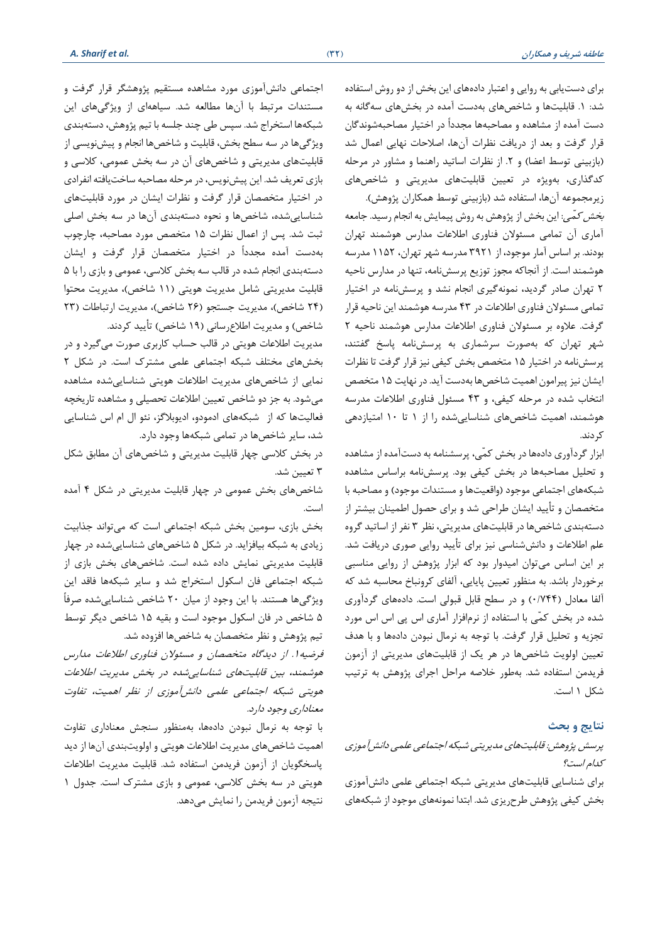برای دست یابی به روایی و اعتبار دادههای این بتش از دو روش استااده شد: 1ا قابلیت ها و شاخص های به دست آمده در بتشهای سه گانه به دست آمده از مشاهده و مصاحبهها مجدداً در اختیار مصاحبهشوندگان قرار گرفت و بعد از دریافت نظرات آنها، اصلاحات نهایی اعمال شد (بازبینی توسط اعضا) و ۲. از نظرات اساتید راهنما و مشاور در مرحله کدگذاری، بهویژه در تعیین قابلیتهای مدیریتی و شاخصهای زیرمجموعه آنها، استفاده شد (بازبینی توسط همکاران پژوهش).

*بخش کمّی*: این بخش از پژوهش به روش پیمایش به انجام رسید. جامعه آماری آن تمامی مسئولان فناوری اطلاعات مدارس هوشمند تهران بودندا بر اساس آمار موجود، از 3921 مدرسه شهر تهران، 1152 مدرسه هوشمند است. از آنجاکه مجوز توزیع پرسش نامه، تنها در مدارس ناحیه 2 تهران صادر گردید، نمونهگیری ان ام نشد و پرسش نامه در اختیار تمامی مسئولان فناوری اطلاعات در ۴۳ مدرسه هوشمند این ناحیه قرار گرفت. علاوه بر مسئولان فناوری اطلاعات مدارس هوشمند ناحیه ۲ شهر تهران که بهصورت سرشماری به پرسشنامه پاسخ گفتند، پرسش نامه در اختیار 15 متتصص بتش ایای نیز قرار گرفت تا نظرات ایشان نیز پیرامون اهمیت شاخص ها بهدست آید. در نهایت ۱۵ متخصص انتخاب شده در مرحله کیفی، و ۴۳ مسئول فناوری اطلاعات مدرسه هوشمند، اهمیت شاخص های شناساییشده را از 1 تا 10 امتیازدهی کر دند.

ابزار گردآوری دادهها در بخش کمّی، پرسشنامه به دستآمده از مشاهده و تحلیل مصاحبهها در بخش کیفی بود. پرسشنامه براساس مشاهده شبکههای اجتماعی موجود (واقعیتها و مستندات موجود) و مصاحبه با متخصصان و تأیید ایشان طراحی شد و برای حصول اطمینان بیشتر از دستهبندی شاخص ها در قابلیتهای مدیریتی، نظر 3 نار از اساتید گروه علم اطالعات و دانش شناسی نیز برای تأیید روایی صوری دریافت شدا بر این اساس می توان امیدوار بود که ابزار پژوهش از روایی مناسبی برخوردار باشد. به منظور تعیین پایایی، آلفای کرونباخ محاسبه شد که آلفا معادل (۷۴۴/۰) و در سطح قابل قبولی است. دادههای گردآوری شده در بخش کمّی با استفاده از نرمافزار آماری اس پی اس اس مورد تجزیه و تحلیل قرار گرفت. با توجه به نرمال نبودن دادهها و با هدف تایین اویویت شاخص ها در هر یک از قابلیت های مدیریتی از آزمون فریدمن استفاده شد. بهطور خلاصه مراحل اجرای پژوهش به ترتیب شکل ۱ است.

#### **نتایج و بحث**

# پرسش پشوهش: قابلیت های مدیریتی شبکه اجتماعی علمی دانش آموز ی ادام است؟

برای شناسایی قابلیتهای مدیریتی شبکه اجتماعی علمی دانشآموزی بخش کیفی پژوهش طرحریزی شد. ابتدا نمونههای موجود از شبکههای

اجتماعی دانش آموزی مورد مشاهده مستقیم پشوهشگر قرار گرفت و مستندات مرتبط با آنها مطالعه شد. سیاههای از ویژگیهای این شبکهها استخراج شد. سپس طی چند جلسه با تیم پژوهش، دستهبندی ویژگیها در سه سطح بخش، قابلیت و شاخصها انجام و پیش نویسی از قابلیتهای مدیریتی و شاخص های آن در سه بتش عمومی، االسی و بازی تعریف شد. این پیش نویس، در مرحله مصاحبه ساخت یافته انفرادی در اختیار متتصصان قرار گرفت و نظرات ایشان در مورد قابلیتهای شناساییشده ، شاخص ها و نصوه دستهبندی آن ها در سه بتش اصلی ثبت شد. پس از اعمال نظرات ۱۵ متخصص مورد مصاحبه، چارچوب بهدست آمده م دداً در اختیار متتصصان قرار گرفت و ایشان دستهبندی انجام شده در قالب سه بخش کلاسی، عمومی و بازی را با ۵ قابلیت مدیریتی شامل مدیریت هویتی (۱۱ شاخص)، مدیریت محتوا (٢۴ شاخص)، مدیریت جستجو (٢۶ شاخص)، مدیریت ارتباطات (٢٣ شاخص) و مدیریت اطلاعرسانی (۱۹ شاخص) تأیید کردند.

مدیریت اطلاعات هویتی در قالب حساب کاربری صورت می گیرد و در بخش های مختلف شبکه اجتماعی علمی مشترک است. در شکل ۲ نمایی از شاخص های مدیریت اطالعات هویتی شناسایی شده مشاهده می شود. به جز دو شاخص تعیین اطلاعات تحصیلی و مشاهده تاریخچه فااییتها اه از شبکههای ادمودو، ادیوبالگز، نئو ال ام اس شناسایی شد، سایر شاخص ها در تمامی شبکهها وجود داردا

در بخش کلاسی چهار قابلیت مدیریتی و شاخصهای آن مطابق شکل ۳ تعیین شد.

شاخص های بتش عمومی در چهار قابلیت مدیریتی در شک 4 آمده است.

بخش بازی، سومین بخش شبکه اجتماعی است که میتواند جذابیت زیادی به شبکه بیافزاید. در شکل ۵ شاخصهای شناساییشده در چهار قابلیت مدیریتی نمایش داده شده استا شاخص های بتش بازی از شبکه اجتماعی فان اسکول استخراج شد و سایر شبکهها فاقد این ویشگیها هستندا با این وجود از میان 20 شاخص شناساییشده صرفاً 5 شاخص در فان اسکول موجود است و بقیه 15 شاخص دیگر توسط تیم پژوهش و نظر متخصصان به شاخصها افزوده شد.

فرضیه ا. از دیدگاه متخصصان و مسئولان فناوری اطلاعات مدارس هوشمند، بین قابلیت های شناساییشده در بتش مدیریت اطالعات هویتی شبکه اجتماعی علمی دانش آموزی از نظر اهمیت، تفاوت معناداری وجود دارد.

با توجه به نرمال نبودن دادهها، بهمنظور سنجش معناداری تفاوت اهمیت شاخص های مدیریت اطالعات هویتی و اویویت بندی آنها از دید پاستگویان از آزمون فریدمن استااده شدا قابلیت مدیریت اطالعات هویتی در سه بخش کلاسی، عمومی و بازی مشترک است. جدول ۱ نتیجه آزمون فریدمن را نمایش می دهد.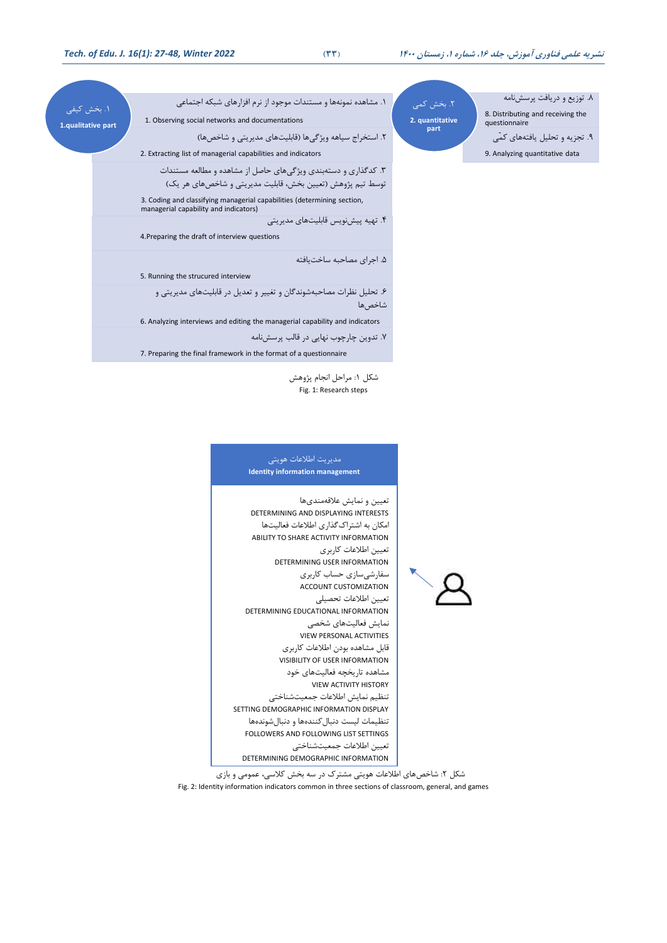1ا بتش ایای **1.qualitative part**

| ۱. مشاهده نمونهها و مستندات موجود از نرم افزارهای شبکه اجتماعی<br>1. Observing social networks and documentations            | ٢. بخش كمى<br>2. quantitative | ۸. توزیع و دریافت پرسشنامه<br>8. Distributing and receiving the<br>questionnaire |
|------------------------------------------------------------------------------------------------------------------------------|-------------------------------|----------------------------------------------------------------------------------|
| ٢. استخراج سیاهه ویژگیها (قابلیتهای مدیریتی و شاخصها)<br>2. Extracting list of managerial capabilities and indicators        | part                          | ۹. تجزیه و تحلیل یافتههای کمّی<br>9. Analyzing quantitative data                 |
| ۳. کدگذاری و دستهبندی ویژگیهای حاصل از مشاهده و مطالعه مستندات<br>توسط تیم پژوهش (تعیین بخش، قابلیت مدیریتی و شاخصهای هر یک) |                               |                                                                                  |

3. Coding and classifying managerial capabilities (determining section, managerial capability and indicators) 4ا تهیه پیش نویس قابلیت های مدیریتی

4.Preparing the draft of interview questions

5ا اجرای مصاابه ساخت یافته

5. Running the strucured interview

۶. تحلیل نظرات مصاحبهشوندگان و تغییر و تعدیل در قابلیتهای مدیریتی و شاخص ها

6. Analyzing interviews and editing the managerial capability and indicators

7ا تدوین چارچوب نهایی در قایم پرسش نامه

7. Preparing the final framework in the format of a questionnaire

شکل ۱: مراحل انجام پژوهش Fig. 1: Research steps

#### مدیریت اطلاعات هویتی **Identity information management**

تعیین و نمایش علاقهمندیها DETERMINING AND DISPLAYING INTERESTS امکان به اشتراک گذاری اطلاعات فعالیتها ABILITY TO SHARE ACTIVITY INFORMATION تعیین اطلاعات کاربری DETERMINING USER INFORMATION سفارشیسازی حساب کاربری ACCOUNT CUSTOMIZATION تعیین اطلاعات تحصیلی DETERMINING EDUCATIONAL INFORMATION نمایش فااییتهای شتصی VIEW PERSONAL ACTIVITIES قابل مشاهده بودن اطلاعات کاربری VISIBILITY OF USER INFORMATION مشاهده تاریتچه فااییتهای خود VIEW ACTIVITY HISTORY تنظیم نمایش اطلاعات جمعیتشناختی SETTING DEMOGRAPHIC INFORMATION DISPLAY تنظیمات لیست دنبال کنندهها و دنبالشوندهها FOLLOWERS AND FOLLOWING LIST SETTINGS تعیین اطلاعات جمعیتشناختی DETERMINING DEMOGRAPHIC INFORMATION

شکل ۲: شاخصهای اطلاعات هویتی مشترک در سه بخش کلاسی، عمومی و بازی Fig. 2: Identity information indicators common in three sections of classroom, general, and games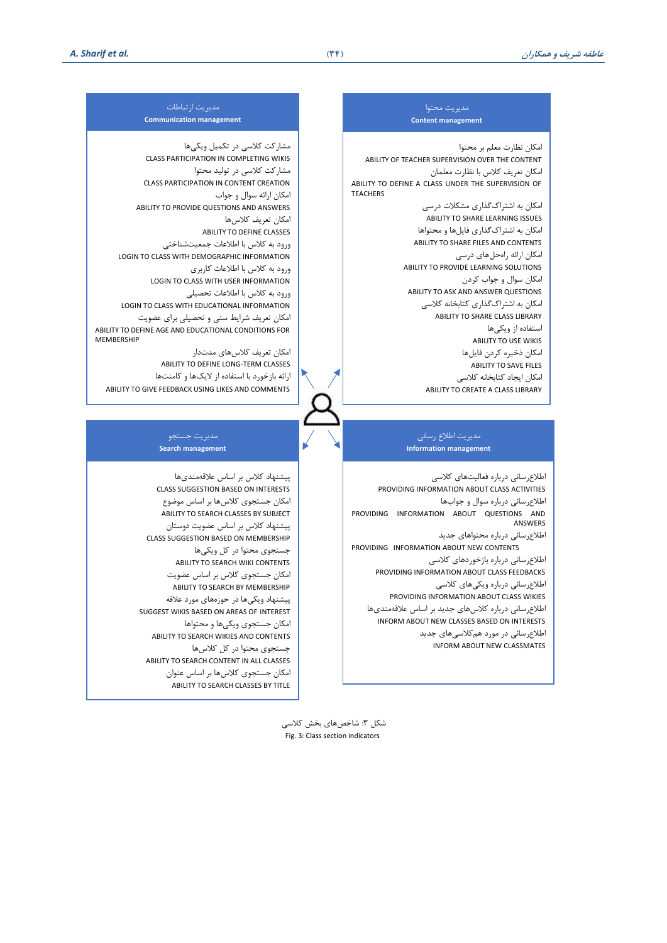#### مدیریت مصتوا **Content management**

امکان نظارت مالم بر مصتوا ABILITY OF TEACHER SUPERVISION OVER THE CONTENT امکان تعریف کلاس با نظارت معلمان ABILITY TO DEFINE A CLASS UNDER THE SUPERVISION OF **TEACHERS** 

> امکان به اشتراک گذاری مشکلات درسی ABILITY TO SHARE LEARNING ISSUES امکان به اشترااگذاری فای ها و مصتواها ABILITY TO SHARE FILES AND CONTENTS امکان ارائه راهحلهای درسی ABILITY TO PROVIDE LEARNING SOLUTIONS امکان سوال و جواب کردن ABILITY TO ASK AND ANSWER QUESTIONS امکان به اشتراکگذاری کتابخانه کلاسی ABILITY TO SHARE CLASS LIBRARY استفاده از ویکی ها ABILITY TO USE WIKIS امکان ذخیره کردن فایلها ABILITY TO SAVE FILES امکان ایجاد کتابخانه کلاسی ABILITY TO CREATE A CLASS LIBRARY

#### مدیریت ارتباطات **Communication management**

مشارکت کلاسی در تکمیل ویکیها CLASS PARTICIPATION IN COMPLETING WIKIS مشارکت کلاسی در تولید محتوا CLASS PARTICIPATION IN CONTENT CREATION امکان اراله سوال و جواب ABILITY TO PROVIDE QUESTIONS AND ANSWERS امکان تعریف کلاسها ABILITY TO DEFINE CLASSES ورود به کلاس با اطلاعات جمعیتشناختی LOGIN TO CLASS WITH DEMOGRAPHIC INFORMATION ورود به کلاس با اطلاعات کاربری LOGIN TO CLASS WITH USER INFORMATION ورود به كلاس با اطلاعات تحصيلي LOGIN TO CLASS WITH EDUCATIONAL INFORMATION امکان تعریف شرایط سنی و تحصیلی برای عضویت ABILITY TO DEFINE AGE AND EDUCATIONAL CONDITIONS FOR **MEMBERSHIP** امکان تعریف کلاس های مدتدار

ABILITY TO DEFINE LONG-TERM CLASSES ارائه بازخورد با استفاده از لایکها و کامنتها ABILITY TO GIVE FEEDBACK USING LIKES AND COMMENTS

#### مدیریت اطلاع رسانی **Information management**

اطلاع رسانی درباره فعالیتهای کلاسی PROVIDING INFORMATION ABOUT CLASS ACTIVITIES اطلاع رسانی درباره سوال و جوابها PROVIDING INFORMATION ABOUT QUESTIONS AND ANSWERS

اطلاع رسانی درباره محتواهای جدید PROVIDING INFORMATION ABOUT NEW CONTENTS اطلاع رسانی درباره بازخوردهای کلاسی PROVIDING INFORMATION ABOUT CLASS FEEDBACKS اطلاع رسانی درباره ویکی های کلاسی PROVIDING INFORMATION ABOUT CLASS WIKIES اطلاع رسانی درباره کلاسهای جدید بر اساس علاقهمندیها INFORM ABOUT NEW CLASSES BASED ON INTERESTS اطلاع رسانی در مورد هم کلاسی های جدید INFORM ABOUT NEW CLASSMATES

#### مدیریت جستجو **Search management**

پیشنهاد کلاس بر اساس علاقهمندیها CLASS SUGGESTION BASED ON INTERESTS امکان جستجوی کلاسها بر اساس موضوع ABILITY TO SEARCH CLASSES BY SUBJECT پیشنهاد کلاس بر اساس عضویت دوستان CLASS SUGGESTION BASED ON MEMBERSHIP جستجوی محتوا در کل ویکی ها ABILITY TO SEARCH WIKI CONTENTS امکان جستجوی کلاس بر اساس عضویت ABILITY TO SEARCH BY MEMBERSHIP پیشنهاد ویکیها در حوزههای مورد علاقه SUGGEST WIKIS BASED ON AREAS OF INTEREST امکان جستجوی ویکیها و محتواها ABILITY TO SEARCH WIKIES AND CONTENTS جستجوی محتوا در کل کلاسها ABILITY TO SEARCH CONTENT IN ALL CLASSES امکان جستجوی کلاسها بر اساس عنوان ABILITY TO SEARCH CLASSES BY TITLE

> شکل ۳: شاخصهای بخش کلاسی Fig. 3: Class section indicators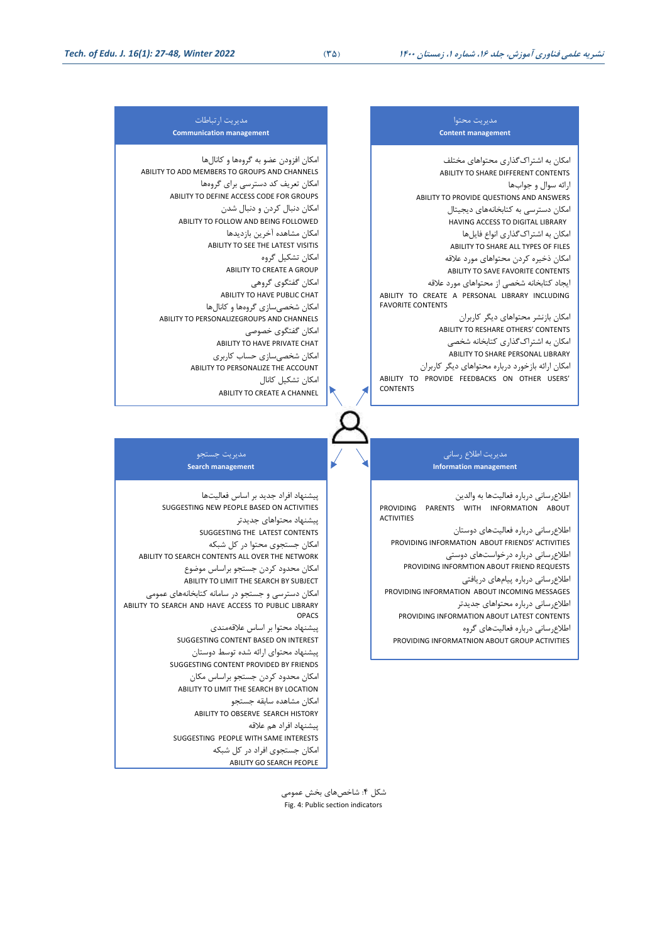#### مدیریت مصتوا **Content management**

امکان به اشتراک گذاری محتواهای مختلف ABILITY TO SHARE DIFFERENT CONTENTS اراله سوال و جوابها ABILITY TO PROVIDE QUESTIONS AND ANSWERS امکان دسترسی به کتابخانههای دیجیتال HAVING ACCESS TO DIGITAL LIBRARY امکان به اشتراکگذاری انواع فایلها ABILITY TO SHARE ALL TYPES OF FILES امکان ذخیره کردن محتواهای مورد علاقه ABILITY TO SAVE FAVORITE CONTENTS ایجاد کتابخانه شخصی از محتواهای مورد علاقه ABILITY TO CREATE A PERSONAL LIBRARY INCLUDING FAVORITE CONTENTS امکان بازنشر مصتواهای دیگر ااربران

ABILITY TO RESHARE OTHERS' CONTENTS امکان به اشتراک گذاری کتابخانه شخصی ABILITY TO SHARE PERSONAL LIBRARY امکان ارائه بازخورد درباره محتواهای دیگر کاربران ABILITY TO PROVIDE FEEDBACKS ON OTHER USERS' CONTENTS

#### مدیریت اطلاع رسانی **Information management**

اطلاع رسانی درباره فعالیتها به والدین PROVIDING PARENTS WITH INFORMATION ABOUT ACTIVITIES

اطلاع رسانی درباره فعالیتهای دوستان PROVIDING INFORMATION ABOUT FRIENDS' ACTIVITIES اطلاع رسانی درباره درخواستهای دوستی PROVIDING INFORMTION ABOUT FRIEND REQUESTS

اطلاعرسانی درباره پیامهای دریافتی

PROVIDING INFORMATION ABOUT INCOMING MESSAGES اطلاع رسانی درباره محتواهای جدیدتر PROVIDING INFORMATION ABOUT LATEST CONTENTS اطلاع رسانی درباره فعالیتهای گروه

PROVIDING INFORMATNION ABOUT GROUP ACTIVITIES

#### مدیریت ارتباطات **Communication management**

امکان افزودن عضو به گروهها و کانالها ABILITY TO ADD MEMBERS TO GROUPS AND CHANNELS امکان تعریف کد دسترسی برای گروهها ABILITY TO DEFINE ACCESS CODE FOR GROUPS امکان دنبال کردن و دنبال شدن ABILITY TO FOLLOW AND BEING FOLLOWED امکان مشاهده آخرین بازدیدها ABILITY TO SEE THE LATEST VISITIS امکان تشکیل گروه ABILITY TO CREATE A GROUP امکان گفتگوی گروهی ABILITY TO HAVE PUBLIC CHAT امکان شخصی سازی گروهها و کانالها ABILITY TO PERSONALIZEGROUPS AND CHANNELS امکان گفتگوی خصوصی ABILITY TO HAVE PRIVATE CHAT امکان شخصیسازی حساب کاربری ABILITY TO PERSONALIZE THE ACCOUNT امکان تشکیل کانال ABILITY TO CREATE A CHANNEL

#### مدیریت جستجو **Search management**

پیشنهاد افراد جدید بر اساس فااییتها SUGGESTING NEW PEOPLE BASED ON ACTIVITIES پیشنهاد مصتواهای جدیدتر SUGGESTING THE LATEST CONTENTS امکان جستجوی محتوا در کل شبکه ABILITY TO SEARCH CONTENTS ALL OVER THE NETWORK امکان محدود کردن جستجو براساس موضوع ABILITY TO LIMIT THE SEARCH BY SUBJECT امکان دسترسی و جستجو در سامانه کتابخانههای عمومی ABILITY TO SEARCH AND HAVE ACCESS TO PUBLIC LIBRARY OPACS پیشنهاد مصتوا بر اساس عالقهمندی SUGGESTING CONTENT BASED ON INTEREST پیشنهاد مصتوای اراله شده توسط دوستان SUGGESTING CONTENT PROVIDED BY FRIENDS امکان محدود کردن جستجو براساس مکان ABILITY TO LIMIT THE SEARCH BY LOCATION امکان مشاهده سابقه جستجو ABILITY TO OBSERVE SEARCH HISTORY پیشنهاد افراد هم عالقه SUGGESTING PEOPLE WITH SAME INTERESTS

> امکان جستجوی افراد در کل شبکه ABILITY GO SEARCH PEOPLE

> > شکل ۴: شاخصهای بخش عمومی Fig. 4: Public section indicators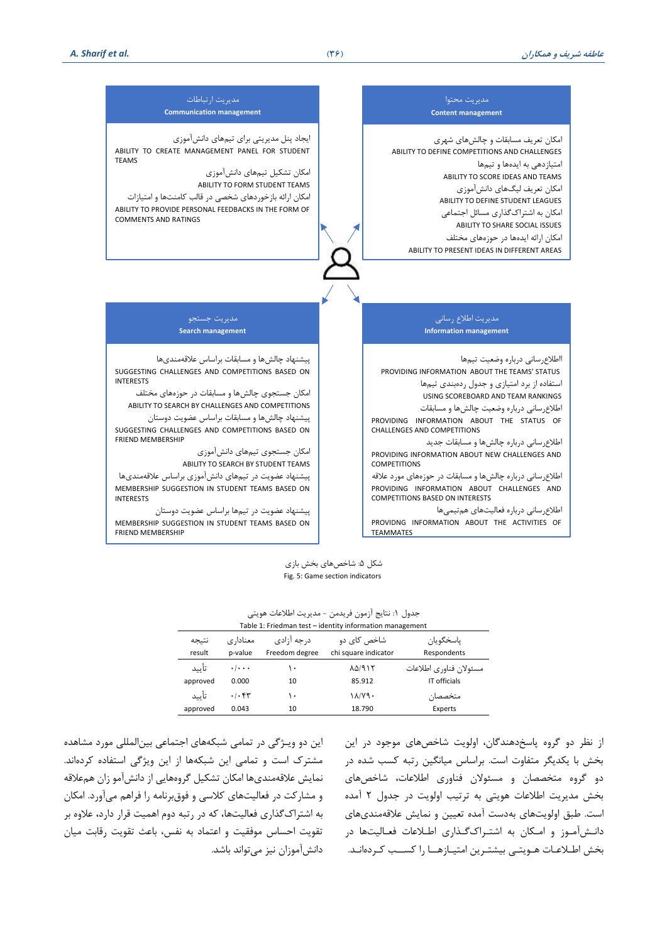

شکا ، ۵: شاخصهای بخش بازی Fig. 5: Game section indicators

#### جدول ١: نتایج آزمون فریدمن - مدیریت اطلاعات هویتی

| Table 1: Friedman test - identity information management |                                    |                               |                                     |                                        |  |
|----------------------------------------------------------|------------------------------------|-------------------------------|-------------------------------------|----------------------------------------|--|
| نتيجه<br>result                                          | معنادا, ی<br>p-value               | د, جه آ;ادی<br>Freedom degree | شاخص کای دو<br>chi square indicator | ياسخگويان<br>Respondents               |  |
| تأييد<br>approved                                        | $\cdot$ / $\cdot$ $\cdot$<br>0.000 | ۱۰<br>10                      | <b>AD/915</b><br>85.912             | مسئولان فناوري اطلاعات<br>IT officials |  |
| تأسد                                                     | .1.54                              | ۱۰                            | $1\lambda/Y9$                       | متخصصان                                |  |
| approved                                                 | 0.043                              | 10                            | 18.790                              | Experts                                |  |

این دو ویت شگی در تمامی شبکه های اجتماعی بین ایمللی مورد مشاهده مشترک است و تمامی این شبکهها از این ویژگی استفاده کردهاند. نمایش علاقهمندی ها امکان تشکیل گروههایی از دانش آمو زان همعلاقه و مشارکت در فعالیتهای کلاسی و فوق برنامه را فراهم می آورد. امکان به اشتراک گذاری فعالیتها، که در رتبه دوم اهمیت قرار دارد، علاوه بر تقویت احساس موفقیت و اعتماد به نفس، باعث تقویت رقابت میان دانش آموزان نیز می تواند باشد ا

از نظر دو گروه پاسخ دهندگان، اویویت شاخص های موجود در این بخش با یکدیگر متفاوت است. براساس میانگین رتبه کسب شده در دو گروه متخصصان و مسئولان فناوری اطلاعات، شاخص های بتش مدیریت اطالعات هویتی به ترتیم اویویت در جدول 2 آمده است. طبق اولویتهای بهدست آمده تعیین و نمایش علاقهمندیهای دانت آموز و امکان به اشتراک گذاری اطلاعات فعالیتها در بخش اطـلاعـات هـویتـی بیشتـرین امتیـازهــا را کســب کـردهانـد.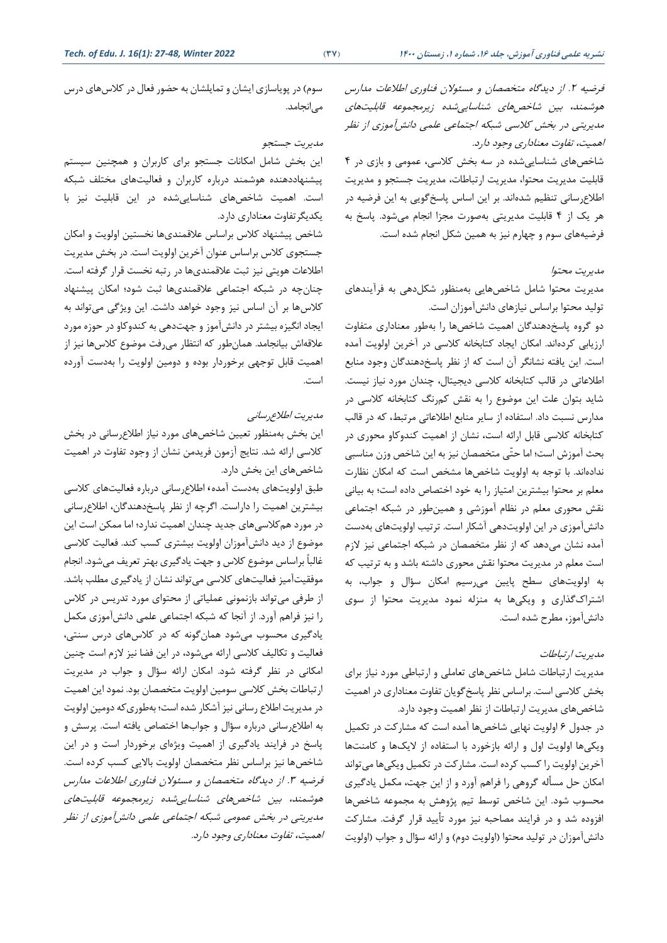سوم) در پویاسازی ایشان و تمایلشان به حضور فعال در کلاسهای درس می|نجامد.

## مدیریت جستجو

این بخش شامل امکانات جستجو برای کاربران و همچنین سیستم پیشنهاددهنده هوشمند درباره کاربران و فعالیتهای مختلف شبکه استا اهمیت شاخص های شناساییشده در این قابلیت نیز با یکدیگرتفاوت معناداری دارد.

شاخص پیشنهاد کلاس براساس علاقمندیها نخستین اولویت و امکان جستجوی کلاس براساس عنوان آخرین اولویت است. در بخش مدیریت اطالعات هویتی نیز ثبت عالقمندی ها در رتبه نتست قرار گرفته استا چنان چه در شبکه اجتماعی عالقمندی ها ثبت شود؛ امکان پیشنهاد کلاس ها بر آن اساس نیز وجود خواهد داشت. این ویژگی میتواند به ایجاد انگیزه بیشتر در دانش آموز و جهتدهی به کندوکاو در حوزه مورد علاقه اش بیانجامد. همان طور که انتظار میرفت موضوع کلاس ها نیز از اهمیت قابل توجهی برخوردار بوده و دومین اولویت را بهدست آورده است.

## مدیریت اطلاع رسانبی

این بخش بهمنظور تعیین شاخصهای مورد نیاز اطلاع رسانی در بخش کلاسی ارائه شد. نتایج آزمون فریدمن نشان از وجود تفاوت در اهمیت شاخص های این بتش داردا

طبق اولویتهای بهدست آمده، اطلاع رسانی درباره فعالیتهای کلاسی بیشترین اهمیت را داراست. اگرچه از نظر پاسخدهندگان، اطلاع رسانی در مورد هم کلاسی های جدید چندان اهمیت ندارد؛ اما ممکن است این موضوع از دید دانش آموزان اولویت بیشتری کسب کند. فعالیت کلاسی غالباً براساس موضوع کلاس و جهت یادگیری بهتر تعریف میشود. انجام موفقیت آمیز فعالیت های کلاسی می تواند نشان از یادگیری مطلب باشد. از طرفی میتواند بازنمونی عملیاتی از محتوای مورد تدریس در کلاس را نیز فراهم آورد. از آنجا که شبکه اجتماعی علمی دانشآموزی مکمل یادگیری محسوب میشود همانگونه که در کلاسهای درس سنتی، فعالیت و تکالیف کلاسی ارائه میشود، در این فضا نیز لازم است چنین امکانی در نظر گرفته شود. امکان ارائه سؤال و جواب در مدیریت ارتباطات بخش كلاسی سومین اولویت متخصصان بود. نمود این اهمیت در مدیریت اطلاع رسانی نیز آشکار شده است؛ بهطوری که دومین اولویت به اطلاع رسانی درباره سؤال و جوابها اختصاص یافته است. پرسش و پاسخ در فرایند یادگیری از اهمیت ویژهای برخوردار است و در این شاخصها نیز براساس نظر متخصصان اولویت بالایی کسب کرده است. فرضیه ۳. از دیدگاه متخصصان و مسئولان فناوری اطلاعات مدارس هوشمند، بین شاخصهای شناساییشده زیرمجموعه قابلیتهای مدیریتی در بخش عمومی شبکه اجتماعی علمی دانش آموزی از نظر اهمیت، تفاوت معناداری وجود دارد. فرضیه ۲. از دیدگاه متخصصان و مسئولان فناوری اطلاعات مدارس هوشمند، بین شاخصهای شناساییشده زیرمجموعه قابلیتهای مدیریتی در بخش کلاسی شبکه اجتماعی علمی دانش آموزی از نظر اهمیت، تفاوت معناداری وجود دارد.

شاخص های شناسایی شده در سه بتش االسی، عمومی و بازی در 4 قابلیت مدیریت محتوا، مدیریت ارتباطات، مدیریت جستجو و مدیریت اطلاع رسانی تنظیم شدهاند. بر این اساس پاسخ گویی به این فرضیه در هر یک از ۴ قابلیت مدیریتی بهصورت مجزا انجام می شود. پاسخ به فرضیههای سوم و چهارم نیز به همین شکل انجام شده است.

### مدیریت مصتوا

مدیریت محتوا شامل شاخصهایی بهمنظور شکلدهی به فرآیندهای تولید محتوا براساس نیازهای دانش آموزان است.

دو گروه پاسخدهندگان اهمیت شاخصها را بهطور معناداری متفاوت ارزیابی کردهاند. امکان ایجاد کتابخانه کلاسی در آخرین اولویت آمده است. این یافته نشانگر آن است که از نظر پاسخ دهندگان وجود منابع اطلاعاتی در قالب کتابخانه کلاسی دیجیتال، چندان مورد نیاز نیست. شاید بتوان علت این موضوع را به نقش کمرنگ کتابخانه کلاسی در مدارس نسبت داد. استفاده از سایر منابع اطلاعاتی مرتبط، که در قالب کتابخانه کلاسی قابل ارائه است، نشان از اهمیت کندوکاو محوری در بصث آموزش است؛ اما اتّی متتصصان نیز به این شاخص وزن مناسبی ندادهاند. با توجه به اولویت شاخصها مشخص است که امکان نظارت معلم بر محتوا بیشترین امتیاز را به خود اختصاص داده است؛ به بیانی نقش محوری معلم در نظام آموزشی و همینطور در شبکه اجتماعی دانش آموزی در این اولویت دهی آشکار است. ترتیب اولویتهای به دست آمده نشان میدهد که از نظر متخصصان در شبکه اجتماعی نیز لازم است معلم در مدیریت محتوا نقش محوری داشته باشد و به ترتیب که به اولویتهای سطح پایین می رسیم امکان سؤال و جواب، به اشتراک گذاری و ویکیها به منزله نمود مدیریت محتوا از سوی دانش آموز، مطرح شده است.

## مدیریت ارتباطات

# مدیریت ارتباطات شامل شاخص های تعاملی و ارتباطی مورد نیاز برای بخش كلاسی است. براساس نظر پاسخ گویان تفاوت معناداری در اهمیت شاخص های مدیریت ارتباطات از نظر اهمیت وجود داردا

در جدول ۶ اولویت نهایی شاخصها آمده است که مشارکت در تکمیل ویکیها اولویت اول و ارائه بازخورد با استفاده از لایکها و کامنتها آخرین اولویت را کسب کرده است. مشارکت در تکمیل ویکیها میتواند امکان حل مسأله گروهی را فراهم آورد و از این جهت، مکمل یادگیری محسوب شود. این شاخص توسط تیم پژوهش به مجموعه شاخصها افزوده شد و در فرایند مصاحبه نیز مورد تأیید قرار گرفت. مشارکت دانش آموزان در تولید محتوا (اولویت دوم) و ارائه سؤال و جواب (اولویت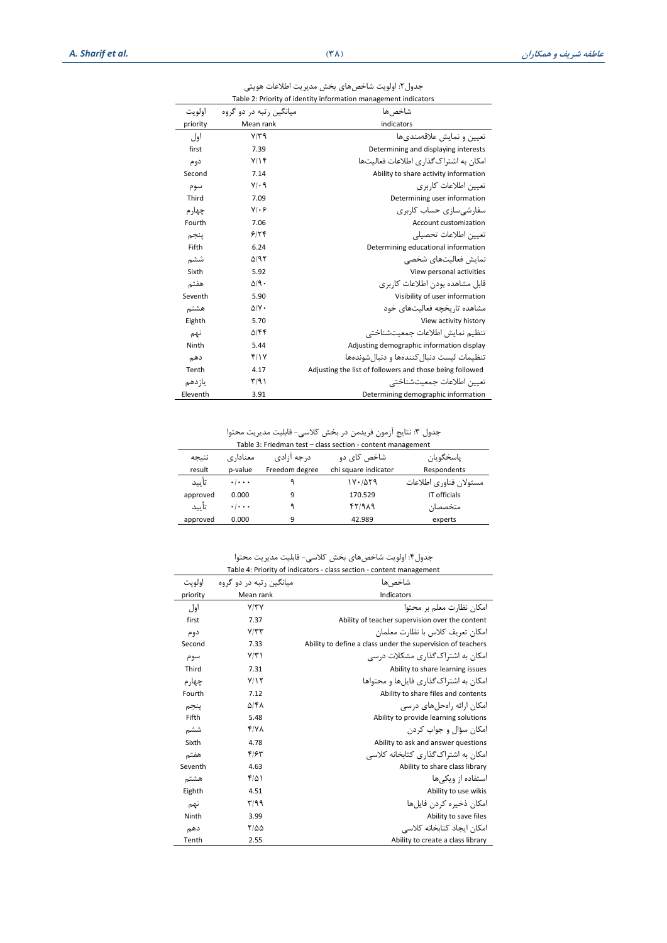جدول۲: اولویت شاخصهای بخش مدیریت اطلاعات هویتی Table 2: Priority of identity information management indicators

| اولويت   | میانگین , تبه در دو گروه | شاخص ها                                                  |
|----------|--------------------------|----------------------------------------------------------|
| priority | Mean rank                | indicators                                               |
| اول      | $Y/Y$ ۹                  | تعيين و نمايش علاقەمندى.ھا                               |
| first    | 7.39                     | Determining and displaying interests                     |
| دوم      | Y/Y                      | امکان به اشتراک گذاری اطلاعات فعالیتها                   |
| Second   | 7.14                     | Ability to share activity information                    |
| سوم      | $V/\cdot q$              | تعیین اطلاعات کاربری                                     |
| Third    | 7.09                     | Determining user information                             |
| چهار م   | $V/\cdot 5$              | سفارشے سازی حساب کاربری                                  |
| Fourth   | 7.06                     | Account customization                                    |
| ينجم     | 9179                     | تعبين اطلاعات تحصيلى                                     |
| Fifth    | 6.24                     | Determining educational information                      |
| ششم      | $\Delta$ /95             | نمايش فعاليتهاى شخصى                                     |
| Sixth    | 5.92                     | View personal activities                                 |
| هفتم     | $\Delta$ /9.             | قابل مشاهده بودن اطلاعات کاربری                          |
| Seventh  | 5.90                     | Visibility of user information                           |
| هشتم     | $\Delta$ / $\vee$        | مشاهده تاريخچه فعاليتهای خود                             |
| Eighth   | 5.70                     | View activity history                                    |
| نهم      | $\Delta$ /۴۴             | تنظيم نمايش اطلاعات جمعيتشناختي                          |
| Ninth    | 5.44                     | Adjusting demographic information display                |
| دهم      | f/Y                      | تنظیمات لیست دنبال کنندهها و دنبال شوندهها               |
| Tenth    | 4.17                     | Adjusting the list of followers and those being followed |
| ياز دهم  | $\Gamma/9$               | تعبين اطلاعات جمعيتشناختي                                |
| Eleventh | 3.91                     | Determining demographic information                      |

جدول ٣: نتایج آزمون فریدمن در بخش كلاسی- قابلیت مدیریت محتوا

|                                                             | ۔ اس رہی رہا ہے ۔ اس کی مناسب کی اس کے اس کا ان کے اس کا ان کے ان کے ان کے اس کے اس کے اس کے اس کے اس کے اس کے |  |  |  | . رن |  |
|-------------------------------------------------------------|----------------------------------------------------------------------------------------------------------------|--|--|--|------|--|
| Table 3: Friedman test - class section - content management |                                                                                                                |  |  |  |      |  |

| Table 3: Friedman test – class section - content management |                                 |                |                      |                        |  |
|-------------------------------------------------------------|---------------------------------|----------------|----------------------|------------------------|--|
| نتيجه                                                       | معنادا, ی                       | د, جه آ;ادی    | شاخص کای دو          | ياسخگويان              |  |
| result                                                      | p-value                         | Freedom degree | chi square indicator | Respondents            |  |
| تأييد                                                       | $\cdot$ / $\cdot$ .             |                | ۱۷۰/۵۲۹              | مسئولان فناوري اطلاعات |  |
| approved                                                    | 0.000                           | 9              | 170.529              | IT officials           |  |
| تأييد                                                       | $\cdot$ $\cdot$ $\cdot$ $\cdot$ |                | $fY/9\lambda$ 9      | متخصصان                |  |
| approved                                                    | 0.000                           | 9              | 42.989               | experts                |  |

جدول۴: اولویت شاخصهای بخش کلاسی- قابلیت مدیریت محتوا Table 4: Priority of indicators - class section - content management

| اولويت   | میانگین , تبه در دو گروه | شاخص ها                                                     |  |
|----------|--------------------------|-------------------------------------------------------------|--|
| priority | Mean rank                | Indicators                                                  |  |
| اول      | Y/YY                     | امکان نظارت معلم بر محتوا                                   |  |
| first    | 7.37                     | Ability of teacher supervision over the content             |  |
| دوم      | $Y/\tau\tau$             | امكان تعريف كلاس با نظارت معلمان                            |  |
| Second   | 7.33                     | Ability to define a class under the supervision of teachers |  |
| سوم      | $Y/\tau$                 | امکان به اشتراک <i>گ</i> ذاری مشکلات درس <i>ی</i>           |  |
| Third    | 7.31                     | Ability to share learning issues                            |  |
| چهار م   | Y/Y                      | امکان به اشتراک گذاری فایل ها و محتواها                     |  |
| Fourth   | 7.12                     | Ability to share files and contents                         |  |
| ينجم     | ۵/۴۸                     | امکان ارائه رامحل های درسے                                  |  |
| Fifth    | 5.48                     | Ability to provide learning solutions                       |  |
| ششم      | Y/Y                      | امکان سؤال و جواب کردن                                      |  |
| Sixth    | 4.78                     | Ability to ask and answer questions                         |  |
| هفتم     | ۴۱۶۳                     | امکان به اشتراک گذاری کتابخانه کلاسی                        |  |
| Seventh  | 4.63                     | Ability to share class library                              |  |
| هشتم     | $f/\Delta$               | استفاده از ویکے ها                                          |  |
| Eighth   | 4.51                     | Ability to use wikis                                        |  |
| نهم      | 7799                     | امکان ذخیرہ کردن فایل ها                                    |  |
| Ninth    | 3.99                     | Ability to save files                                       |  |
| دهم      | $Y/\Delta\Delta$         | امکان ایجاد کتابخانه کلاسی                                  |  |
| Tenth    | 2.55                     | Ability to create a class library                           |  |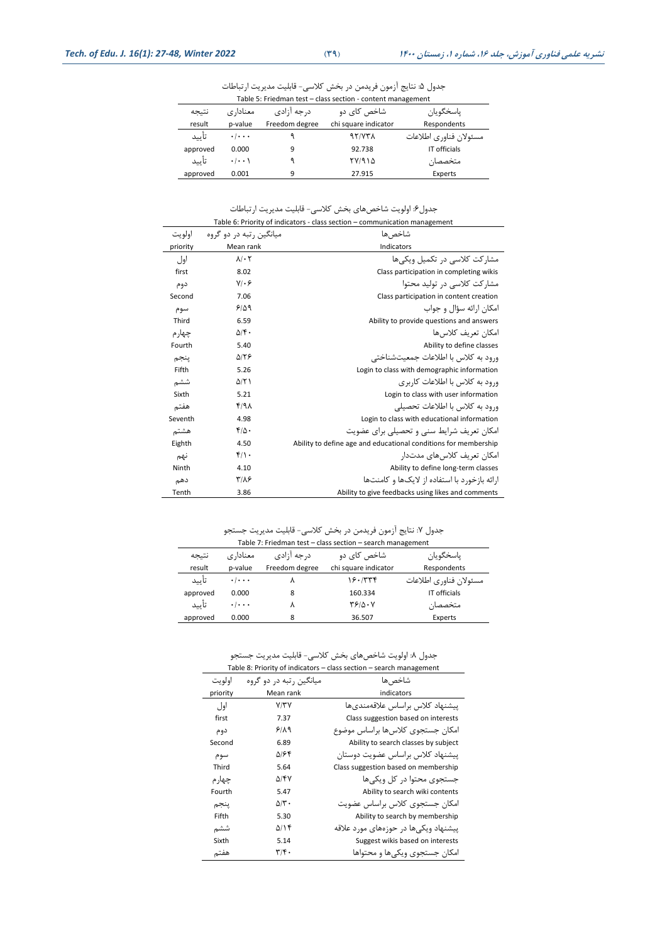جدول ۵: نتایج آزمون فریدمن در بخش کلاسی- قابلیت مدیریت ارتباطات

| Table 5: Friedman test – class section - content management |                     |                |                      |                        |  |
|-------------------------------------------------------------|---------------------|----------------|----------------------|------------------------|--|
| نتيجه                                                       | معنادا, ی           | د, جه آ;ادی    | شاخص کای دو          | ياسخگويان              |  |
| result                                                      | p-value             | Freedom degree | chi square indicator | Respondents            |  |
| تأييد                                                       | $\cdot$ / $\cdot$ . |                | 97/771               | مسئولان فناوري اطلاعات |  |
| approved                                                    | 0.000               | 9              | 92.738               | IT officials           |  |
| تأييد                                                       | $\cdot$ / $\cdot$ ) |                | 77/914               | متخصصان                |  |
| approved                                                    | 0.001               | 9              | 27.915               | Experts                |  |

جدول۶: اولویت شاخصهای بخش کلاسی- قابلیت مدیریت ارتباطات

|          | Table 6: Priority of indicators - class section - communication management |                                                                 |  |  |  |
|----------|----------------------------------------------------------------------------|-----------------------------------------------------------------|--|--|--|
| اولويت   | مبانگین , تبه در دو گروه                                                   | شاخص ها                                                         |  |  |  |
| priority | Mean rank                                                                  | Indicators                                                      |  |  |  |
| اول      | $\lambda$ $\cdot$ $\tau$                                                   | مشار کت کلاسے در تکمیل ویکے ها                                  |  |  |  |
| first    | 8.02                                                                       | Class participation in completing wikis                         |  |  |  |
| دوم      | $Y/\cdot 5$                                                                | مشار کت کلاسے در تولید محتوا                                    |  |  |  |
| Second   | 7.06                                                                       | Class participation in content creation                         |  |  |  |
| سوم      | 9/09                                                                       | امکان ارائه سؤال و جواب                                         |  |  |  |
| Third    | 6.59                                                                       | Ability to provide questions and answers                        |  |  |  |
| چهار م   | $\Delta$ /۴.                                                               | امکان تعریف کلاس ها                                             |  |  |  |
| Fourth   | 5.40                                                                       | Ability to define classes                                       |  |  |  |
| ينجم     | ۵۱۲۶                                                                       | ورود به کلاس با اطلاعات جمعیتشناختی                             |  |  |  |
| Fifth    | 5.26                                                                       | Login to class with demographic information                     |  |  |  |
| ششم      | $\Delta$ /٢١                                                               | ورود به کلاس با اطلاعات کاربری                                  |  |  |  |
| Sixth    | 5.21                                                                       | Login to class with user information                            |  |  |  |
| هفتم     | f/A                                                                        | ورود به کلاس با اطلاعات تحصیلی                                  |  |  |  |
| Seventh  | 4.98                                                                       | Login to class with educational information                     |  |  |  |
| هشتم     | $f/\Delta$ .                                                               | امکان تعریف شرایط سنے, و تحصیلے برای عضویت                      |  |  |  |
| Eighth   | 4.50                                                                       | Ability to define age and educational conditions for membership |  |  |  |
| نهم      | $f/\cdot$                                                                  | امکان تعریف کلاس های مدتدار                                     |  |  |  |
| Ninth    | 4.10                                                                       | Ability to define long-term classes                             |  |  |  |
| دهم      | $Y/\lambda$ ۶                                                              | ا,ائه با; خو, د با استفاده از لایکها و کامنتها                  |  |  |  |
| Tenth    | 3.86                                                                       | Ability to give feedbacks using likes and comments              |  |  |  |

جدول ٧: نتایج آزمون فریدمن در بخش كلاسی- قابلیت مدیریت جستجو

| Table 7: Friedman test - class section - search management |                           |                |                              |                        |  |
|------------------------------------------------------------|---------------------------|----------------|------------------------------|------------------------|--|
| نتيجه                                                      | معنادا, ی                 | د, جه آ;ادی    | شاخص کای دو                  | ياسخگويان              |  |
| result                                                     | p-value                   | Freedom degree | chi square indicator         | Respondents            |  |
| تأييد                                                      | $\cdot$ / $\cdot$ $\cdot$ |                | ۱۶۰/۳۳۴                      | مسئولان فناوري اطلاعات |  |
| approved                                                   | 0.000                     | 8              | 160.334                      | IT officials           |  |
| تأييد                                                      | $\cdot$ / $\cdot$ .       |                | $Y^{\varphi}/\Delta \cdot Y$ | متخصصان                |  |
| approved                                                   | 0.000                     | 8              | 36.507                       | Experts                |  |

جدول ٨: اولویت شاخصهای بخش کلاسی- قابلیت مدیریت جستجو

|          | Table 8: Priority of indicators - class section - search management |                                       |  |  |  |  |
|----------|---------------------------------------------------------------------|---------------------------------------|--|--|--|--|
| اولويت   | میانگین , تبه در دو گروه                                            | شاخص ها                               |  |  |  |  |
| priority | Mean rank                                                           | indicators                            |  |  |  |  |
| اول      | Y/YY                                                                | ييشنهاد كلاس براساس علاقهمندىها       |  |  |  |  |
| first    | 7.37                                                                | Class suggestion based on interests   |  |  |  |  |
| دوم      | 9/19                                                                | امکان جستجوی کلاس ها براساس موضوع     |  |  |  |  |
| Second   | 6.89                                                                | Ability to search classes by subject  |  |  |  |  |
| سوم      | ۵۱۶۴                                                                | پیشنهاد کلاس براساس عضویت دوستان      |  |  |  |  |
| Third    | 5.64                                                                | Class suggestion based on membership  |  |  |  |  |
| چهار م   | ۵/۴۷                                                                | جستجوی محتوا در کل ویکی ها            |  |  |  |  |
| Fourth   | 5.47                                                                | Ability to search wiki contents       |  |  |  |  |
| ينجم     | $\Delta/\tau$ .                                                     | امکان جستجوی کلاس براساس عضویت        |  |  |  |  |
| Fifth    | 5.30                                                                | Ability to search by membership       |  |  |  |  |
| ششم      | ۵/۱۴                                                                | ییشنهاد ویکے ها در حوزههای مورد علاقه |  |  |  |  |
| Sixth    | 5.14                                                                | Suggest wikis based on interests      |  |  |  |  |
| هفتم     | $\mathbf{r}/\mathbf{r}$ .                                           | امکان جستجوی ویکے ها و محتواها        |  |  |  |  |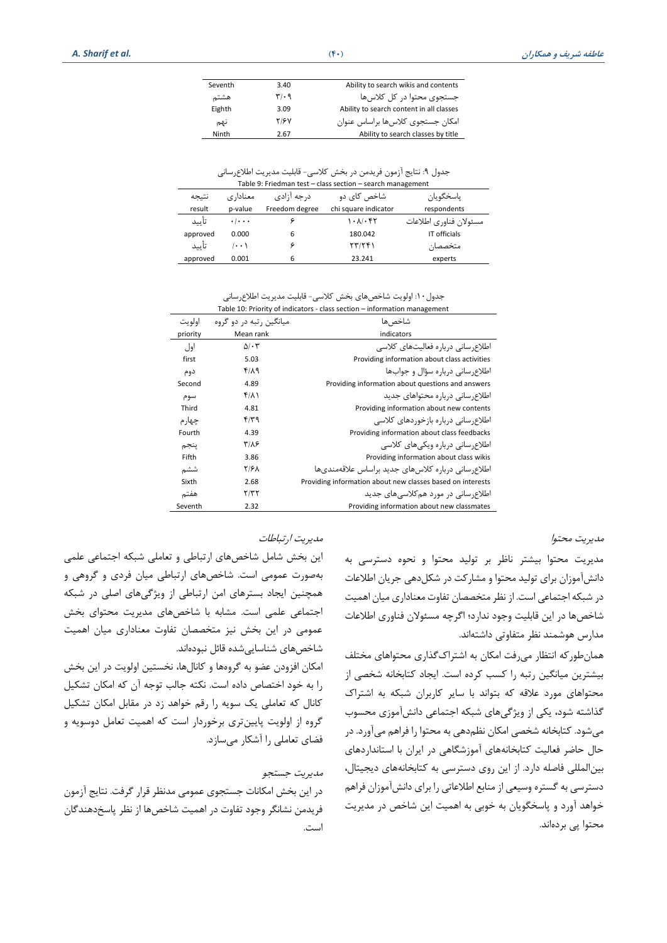| Seventh | 3.40                          | Ability to search wikis and contents     |
|---------|-------------------------------|------------------------------------------|
| هشتم    | $\mathbf{r}/\cdot \mathbf{q}$ | جستجوی محتوا در کل کلاس ها               |
| Eighth  | 3.09                          | Ability to search content in all classes |
| نهم     | ۲۱۶۷                          | امکان جستجوی کلاس ها براساس عنوان        |
| Ninth   | 2.67                          | Ability to search classes by title       |

جدول ٩: نتایج آزمون فریدمن در بخش كلاسی- قابلیت مدیریت اطلاعرسانی

| Table 9: Friedman test - class section - search management |                     |                |                            |                        |  |  |
|------------------------------------------------------------|---------------------|----------------|----------------------------|------------------------|--|--|
| نتيجه                                                      | معنادا, ی           | ياسخگويان      |                            |                        |  |  |
| result                                                     | p-value             | Freedom degree | chi square indicator       | respondents            |  |  |
| تأسد                                                       | $\cdot$   $\cdot$ . |                | $\Lambda$ . $\Lambda$ . Fr | مسئولان فناوري اطلاعات |  |  |
| approved                                                   | 0.000               | 6              | 180.042                    | IT officials           |  |  |
| تأسد                                                       | $\cdots$            |                | 577791                     | متخصصان                |  |  |
| approved                                                   | 0.001               | 6              | 23.241                     | experts                |  |  |

#### جدول ١٠: اولویت شاخصهای بخش كلاسی- قابلیت مدیریت اطلاع رسانی Table 10: Priority of indicators - class section – information management

| اولويت   | میانگین , تبه در دو گروه | شاخص ها                                                    |
|----------|--------------------------|------------------------------------------------------------|
| priority | Mean rank                | indicators                                                 |
| اول      | $\Delta/\cdot 7$         | اطلاع سانے ، دربارہ فعالیتھای کلاسے                        |
| first    | 5.03                     | Providing information about class activities               |
| دوم      | ۴۱۸۹                     | اطلاع سانی درباره سؤال و جوابها                            |
| Second   | 4.89                     | Providing information about questions and answers          |
| سوم      | $f(\lambda)$             | اطلاع سانی درباره محتواهای جدید                            |
| Third    | 4.81                     | Providing information about new contents                   |
| چهار م   | ۴/۳۹                     | اطلاع سانے ، در یارہ یازخوردھای کلاسے                      |
| Fourth   | 4.39                     | Providing information about class feedbacks                |
| ينجم     | ۳۱۸۶                     | اطلاع سانے ، دربارہ ویکے های کلاسے                         |
| Fifth    | 3.86                     | Providing information about class wikis                    |
| ششم      | <b>۲/۶۸</b>              | اطلاع, سانی درباره کلاس های جدید براساس علاقهمندیها        |
| Sixth    | 2.68                     | Providing information about new classes based on interests |
| هفتم     | ۲/۳۲                     | اطلاع, سانی در مورد هم کلاسے های جدید                      |
| Seventh  | 2.32                     | Providing information about new classmates                 |

مدیریت مصتوا

مدیریت مصتوا بیشتر ناظر بر تویید مصتوا و نصوه دسترسی به دانش آموزان برای تولید محتوا و مشارکت در شکلدهی جریان اطلاعات در شبکه اجتماعی است. از نظر متخصصان تفاوت معناداری میان اهمیت شاخص ها در این قابلیت وجود ندارد؛ اگرچه مسئو ن فناوری اطالعات مدارس هوشمند نظر متفاوتی داشتهاند.

همان طور که انتظار می رفت امکان به اشتراک گذاری محتواهای مختلف بیشترین میانگین رتبه را کسب کرده است. ایجاد کتابخانه شخصی از محتواهای مورد علاقه که بتواند با سایر کاربران شبکه به اشتراک گذاشته شود ، یکی از ویشگیهای شبکه اجتماعی دانش آموزی مصسوب می شود. کتابخانه شخصی امکان نظم دهی به محتوا را فراهم می آورد. در حال حاضر فعالیت کتابخانههای آموزشگاهی در ایران با استانداردهای بینالمللی فاصله دارد. از این روی دسترسی به کتابخانههای دیجیتال، دسترسی به گستره وسیعی از منابع اطلاعاتی را برای دانش آموزان فراهم خواهد آورد و پاستگویان به خوبی به اهمیت این شاخص در مدیریت محتوا پی بردهاند.

#### مدیریت ارتباطات

این بخش شامل شاخصهای ارتباطی و تعاملی شبکه اجتماعی علمی بهصورت عمومی استا شاخص های ارتباطی میان فردی و گروهی و همچنین ایجاد بسترهای امن ارتباطی از ویژگیهای اصلی در شبکه اجتماعی علمی است. مشابه با شاخصهای مدیریت محتوای بخش عمومی در این بخش نیز متخصصان تفاوت معناداری میان اهمیت شاخصهای شناساییشده قائل نبودهاند.

امکان افزودن عضو به گروهها و کانالها، نخستین اولویت در این بخش را به خود اختصاص داده است. نکته جالب توجه آن که امکان تشکیل کانال که تعاملی یک سویه را رقم خواهد زد در مقابل امکان تشکیل گروه از اولویت پایین تری برخوردار است که اهمیت تعامل دوسویه و فضای تعاملی را آشکار میسازد.

# مدیریت جستجو

در این بخش امکانات جستجوی عمومی مدنظر قرار گرفت. نتایج آزمون فریدمن نشانگر وجود تااوت در اهمیت شاخص ها از نظر پاسخ دهندگان است.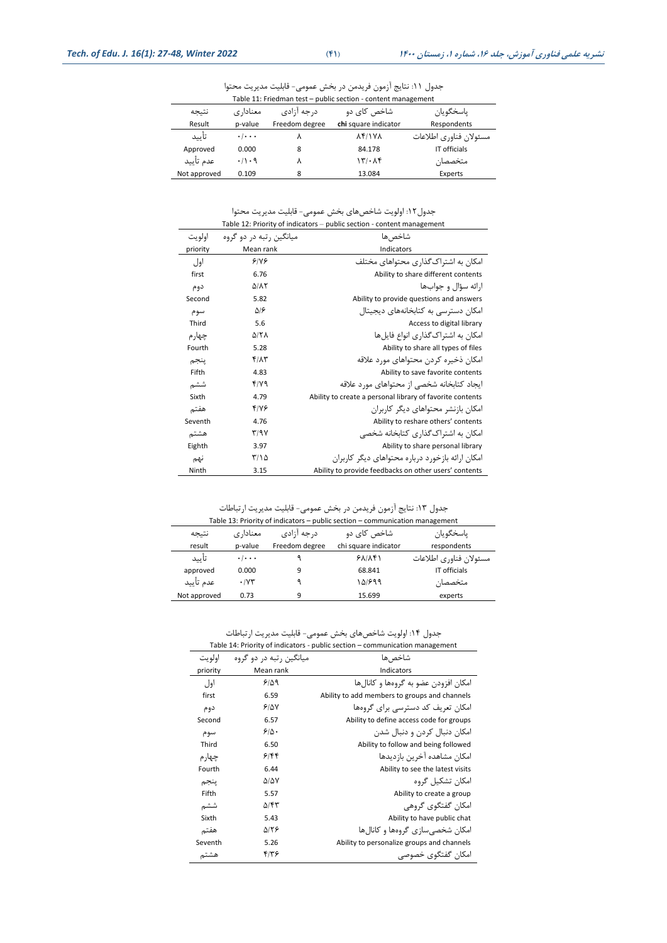| Table 11: Friedman test - public section - content management |                     |                |                      |                        |
|---------------------------------------------------------------|---------------------|----------------|----------------------|------------------------|
| نتيجه                                                         | معنادا, ی           | د, جه آ;ادی    | شاخص کای دو          | ياسخگويان              |
| Result                                                        | p-value             | Freedom degree | chi square indicator | Respondents            |
| تأييد                                                         | $\cdot$ / $\cdot$ . |                | <b>AFIVA</b>         | مسئولان فناوري اطلاعات |
| Approved                                                      | 0.000               | 8              | 84.178               | IT officials           |
| عدم تأييد                                                     | .71.9               |                | 15.15                | متخصصان                |
| Not approved                                                  | 0.109               | 8              | 13.084               | Experts                |

جدول ١١: نتایج آزمون فریدمن در بخش عمومی- قابلیت مدیریت محتوا

جدول:12 اویویت شاخصهای بتش عمومی- قابلیت مدیریت مصتوا Table 12: Priority of indicators – public section - content management

|          |                                   | Table 12: Priority of indicators – public section - content management |
|----------|-----------------------------------|------------------------------------------------------------------------|
| اولويت   | میانگین , تبه در دو گروه          | شاخص ها                                                                |
| priority | Mean rank                         | Indicators                                                             |
| اول      | 9/19                              | امکان به اشتراک گذاری محتواهای مختلف                                   |
| first    | 6.76                              | Ability to share different contents                                    |
| دوم      | $\Delta/\lambda\tau$              | ارائه سؤال و جوابها                                                    |
| Second   | 5.82                              | Ability to provide questions and answers                               |
| سوم      | ۵۱۶                               | امکان دسترسی به کتابخانههای دیجیتال                                    |
| Third    | 5.6                               | Access to digital library                                              |
| چهار م   | <b>A/TA</b>                       | امکان به اشتراک گذاری انواع فایلها                                     |
| Fourth   | 5.28                              | Ability to share all types of files                                    |
| ينجم     | <b>FIAT</b>                       | امکان ذخیره کردن محتواهای مورد علاقه                                   |
| Fifth    | 4.83                              | Ability to save favorite contents                                      |
| ششم      | ۴/۷۹                              | ایجاد کتابخانه شخصی از محتواهای مورد علاقه                             |
| Sixth    | 4.79                              | Ability to create a personal library of favorite contents              |
| هفتم     | ۴۱۷۶                              | امکان بازنشر محتواهای دیگر کاربران                                     |
| Seventh  | 4.76                              | Ability to reshare others' contents                                    |
| هشتم     | $\mathsf{r}/\mathsf{a}\mathsf{v}$ | امکان به اشتراک گذاری کتابخانه شخصی                                    |
| Eighth   | 3.97                              | Ability to share personal library                                      |
| نهم      | ۲/۱۵                              | امکان ارائه بازخورد درباره محتواهای دیگر کاربران                       |
| Ninth    | 3.15                              | Ability to provide feedbacks on other users' contents                  |

جدول ١٣: نتایج آزمون فریدمن در بخش عمومی- قابلیت مدیریت ارتباطات

|              | Table 13: Priority of indicators - public section - communication management |                |                      |                        |  |  |
|--------------|------------------------------------------------------------------------------|----------------|----------------------|------------------------|--|--|
| نتيجه        | معنادار ی                                                                    | د, جه آ;ادی    | شاخص کای دو          | ياسخگويان              |  |  |
| result       | p-value                                                                      | Freedom degree | chi square indicator | respondents            |  |  |
| تأييد        | $\cdot$ / $\cdot$ .                                                          |                | 51/15                | مسئولان فناوري اطلاعات |  |  |
| approved     | 0.000                                                                        | 9              | 68.841               | IT officials           |  |  |
| عدم تأييد    | $\cdot$ / $\vee\tau$                                                         |                | ۱۵۱۶۹۹               | متخصصان                |  |  |
| Not approved | 0.73                                                                         | q              | 15.699               | experts                |  |  |

جدول :14 اویویت شاخصهای بتش عمومی - قابلیت مدیریت ارتباطات

|          | Table 14: Priority of indicators - public section - communication management |                                               |  |  |  |
|----------|------------------------------------------------------------------------------|-----------------------------------------------|--|--|--|
| اولويت   | میانگین , تبه در دو گروه                                                     | شاخص ها                                       |  |  |  |
| priority | Mean rank                                                                    | Indicators                                    |  |  |  |
| اول      | 5109                                                                         | امکان افزودن عضو به گروهها و کانالها          |  |  |  |
| first    | 6.59                                                                         | Ability to add members to groups and channels |  |  |  |
| دوم      | 9/6V                                                                         | امکان تعریف کد دسترسے برای گروہھا             |  |  |  |
| Second   | 6.57                                                                         | Ability to define access code for groups      |  |  |  |
| سوم      | 9/0.                                                                         | امکان دنبال کردن و دنبال شدن                  |  |  |  |
| Third    | 6.50                                                                         | Ability to follow and being followed          |  |  |  |
| چها, م   | 9/88                                                                         | امکان مشاهده آخرین بازدیدها                   |  |  |  |
| Fourth   | 6.44                                                                         | Ability to see the latest visits              |  |  |  |
| ينجم     | ۵۱۵۷                                                                         | امکان تشکیل گروه                              |  |  |  |
| Fifth    | 5.57                                                                         | Ability to create a group                     |  |  |  |
| ششم      | ۵/۴۳                                                                         | امکان گفتگوی گروهی                            |  |  |  |
| Sixth    | 5.43                                                                         | Ability to have public chat                   |  |  |  |
| هفتم     | ۵۱۲۶                                                                         | امکان شخصے سازی گروہھا و کانالھا              |  |  |  |
| Seventh  | 5.26                                                                         | Ability to personalize groups and channels    |  |  |  |
| هشتم     | ۴۱۳۶                                                                         | امکان گفتگوی خصوصی                            |  |  |  |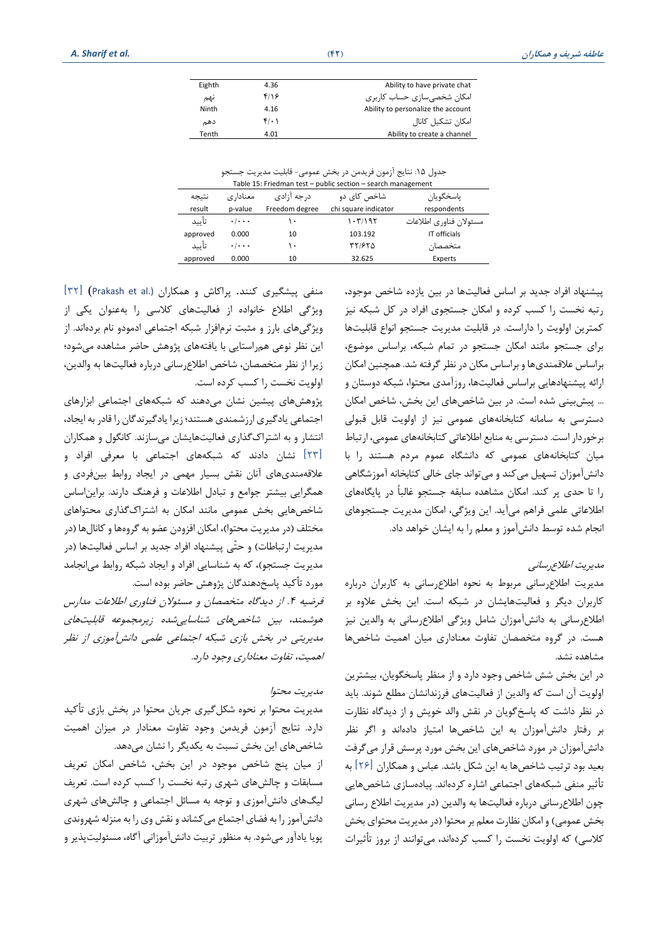جدول ۱۵: نتایج آزمون فریدمن در بخش عمومی- قابلیت مدیریت جستجو

| Table 15: Friedman test - public section - search management |                                 |                |                      |                        |  |  |
|--------------------------------------------------------------|---------------------------------|----------------|----------------------|------------------------|--|--|
| نتيجه                                                        | معنادا, ی                       | د, جه آ;ادی    | ياسخگويان            |                        |  |  |
| result                                                       | p-value                         | Freedom degree | chi square indicator | respondents            |  |  |
| تأييد                                                        | $\cdot$ $\cdot$ $\cdot$ $\cdot$ | ۱۰             | 1.57/195             | مسئولان فناوري اطلاعات |  |  |
| approved                                                     | 0.000                           | 10             | 103.192              | IT officials           |  |  |
| تأييد                                                        | $\cdot$ $\cdot$ $\cdot$ $\cdot$ | ۱۰             | ۳۲/۶۲۵               | متخصصان                |  |  |
| approved                                                     | 0.000                           | 10             | 32.625               | Experts                |  |  |

پیشنهاد افراد جدید بر اساس فااییتها در بین یازده شاخص موجود، رتبه نخست را کسب کرده و امکان جستجوی افراد در کل شبکه نیز کمترین اولویت را داراست. در قابلیت مدیریت جستجو انواع قابلیتها برای جستجو مانند امکان جستجو در تمام شبکه، براساس موضوع، براساس عالقمندی ها و براساس مکان در نظر گرفته شدا همچنین امکان اراله پیشنهادهایی براساس فااییت ها، روزآمدی مصتوا، شبکه دوستان و ااا پیشبینی شده استا در بین شاخصهای این بتش، شاخص امکان دسترسی به سامانه کتابخانههای عمومی نیز از اولویت قابل قبولی برخوردار است. دسترسی به منابع اطلاعاتی کتابخانههای عمومی، ارتباط میان کتابخانههای عمومی که دانشگاه عموم مردم هستند را با دانش آموزان تسهیل می کند و می تواند جای خالی کتابخانه آموزشگاهی را تا حدی پر کند. امکان مشاهده سابقه جستجو غالباً در پایگاههای اطلاعاتی علمی فراهم می آید. این ویژگی، امکان مدیریت جستجوهای انجام شده توسط دانش آموز و معلم را به ایشان خواهد داد.

## مدیریت اطلاع رسانی

مدیریت اطلاع رسانی مربوط به نحوه اطلاع رسانی به کاربران درباره کاربران دیگر و فعالیتهایشان در شبکه است. این بخش علاوه بر اطلاع رسانی به دانش آموزان شامل ویژگی اطلاع رسانی به والدین نیز هست. در گروه متخصصان تفاوت معناداری میان اهمیت شاخصها مشاهده نشدا

در این بتش شش شاخص وجود دارد و از منظر پاستگویان، بیشترین اولویت آن است که والدین از فعالیتهای فرزندانشان مطلع شوند. باید در نظر داشت اه پاسخگویان در نقش واید خویش و از دیدگاه نظارت بر رفتار دانش آموزان به این شاخصها امتیاز داده اند و اگر نظر دانش آموزان در مورد شاخص های این بتش مورد پرسش قرار میگرفت بعید بود ترتیب شاخص ها به این شکل باشد. عباس و همکاران [۲۶] به تأثیر منفی شبکههای اجتماعی اشاره کردهاند. پیادهسازی شاخصهایی چون اطلاع رسانی درباره فعالیتها به والدین (در مدیریت اطلاع رسانی بخش عمومی) و امکان نظارت معلم بر محتوا (در مدیریت محتوای بخش کلاسی) که اولویت نخست را کسب کردهاند، می توانند از بروز تأثیرات

منفی پیشگیری کنند. پراکاش و همکاران (.Prakash et al) [۳۲] ویژگی اطلاع خانواده از فعالیتهای کلاسی را به عنوان یکی از ویشگیهای بارز و مثبت نرم افزار شبکه اجتماعی ادمودو نام برده اندا از این نظر نوعی همراستایی با یافتههای پژوهش حاضر مشاهده میشود؛ زیرا از نظر متخصصان، شاخص اطلاع رسانی درباره فعالیتها به والدین، اولویت نخست را کسب کرده است.

پژوهش های پیشین نشان می دهند که شبکههای اجتماعی ابزارهای اجتماعی یادگیری ارزشمندی هستند؛ زیرا یادگیرندگان را قادر به ایجاد، انتشار و به اشتراک گذاری فعالیتهایشان میسازند. کانگول و همکاران [۲۳] نشان دادند که شبکههای اجتماعی با معرفی افراد و علاقه مندی های آنان نقش بسیار مهمی در ایجاد روابط بین فردی و همگرایی بیشتر جوامع و تبادل اطالعات و فرهنگ دارندا براین اساس شاخصهایی بخش عمومی مانند امکان به اشتراک گذاری محتواهای مختلف (در مدیریت محتوا)، امکان افزودن عضو به گروهها و کانالها (در مدیریت ارتباطات) و حتّی پیشنهاد افراد جدید بر اساس فعالیتها (در مدیریت جستجو)، که به شناسایی افراد و ایجاد شبکه روابط می انجامد مورد تأکید پاسخ دهندگان پژوهش حاضر بوده است.

فرضیه ۴. از دیدگاه متخصصان و مسئولان فناوری اطلاعات مدارس هوشمند، بین شاخص های شناسایی شده زیرمجموعه قابلیت های مدیریتی در بتش بازی شبکه اجتماعی علمی دانش آموز ی از نظر اهمیت، تفاوت معناداری وجود دارد.

## مدیریت مصتوا

مدیریت محتوا بر نحوه شکل گیری جریان محتوا در بخش بازی تأکید دارد. نتایج آزمون فریدمن وجود تفاوت معنادار در میزان اهمیت شاخص های این بخش نسبت به یکدیگر را نشان میدهد.

از میان پنج شاخص موجود در این بخش، شاخص امکان تعریف مسابقات و چالش های شهری رتبه نخست را کسب کرده است. تعریف ییگهای دانش آموزی و توجه به مسال اجتماعی و چایش های شهری دانش آموز را به فضای اجتماع می کشاند و نقش وی را به منزله شهروندی پویا یادآور میشودا به منظور تربیت دانش آموزانی آگاه، مسئوییت پذیر و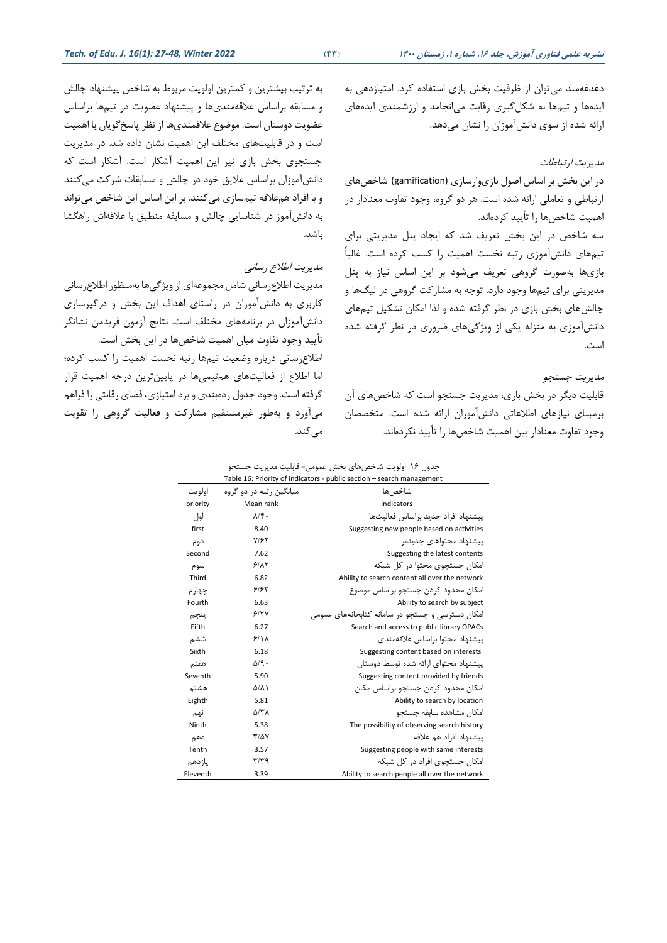به ترتیب بیشترین و کمترین اولویت مربوط به شاخص پیشنهاد چالش و مسابقه براساس علاقهمندیها و پیشنهاد عضویت در تیمها براساس عضویت دوستان است. موضوع علاقمندیها از نظر پاسخ گویان با اهمیت است و در قابلیتهای مختلف این اهمیت نشان داده شد. در مدیریت جستجوی بخش بازی نیز این اهمیت آشکار است. آشکار است که دانش آموزان براساس عالیق خود در چایش و مسابقات شرات می انند و با افراد هم علاقه تیمسازی می کنند. بر این اساس این شاخص می تواند به دانش آموز در شناسایی چالش و مسابقه منطبق با علاقهاش راهگشا باشد.

# مدیریت اطلاع رسانبی

مدیریت اطلاع رسانی شامل مجموعهای از ویژگیها بهمنظور اطلاع رسانی ااربری به دانشآموزان در راستای اهدای این بتش و درگیرسازی دانش آموزان در برنامههای مختلف است. نتایج آزمون فریدمن نشانگر تأیید وجود تفاوت میان اهمیت شاخصها در این بخش است. اطلاع رسانی درباره وضعیت تیمها رتبه نخست اهمیت را کسب کرده؛ اما اطلاع از فعالیتهای هم تیمیها در پایینترین درجه اهمیت قرار گرفته است. وجود جدول ردهبندی و برد امتیازی، فضای رقابتی را فراهم میآورد و به طور غیرمستقیم مشارات و فااییت گروهی را تقویت می کند.

دغدغهمند میتوان از ظرفیت بخش بازی استفاده کرد. امتیازدهی به ایدهها و تیمها به شکل گیری رقابت می انجامد و ارزشمندی ایدههای اراله شده از سوی دانش آموزان را نشان میدهدا

## مدیریت ارتباطات

در این بتش بر اساس اصول بازی وارسازی (gamification (شاخص های ارتباطی و تعاملی ارائه شده است. هر دو گروه، وجود تفاوت معنادار در اهمیت شاخصها را تأیید کردهاند.

سه شاخص در این بخش تعریف شد که ایجاد پنل مدیریتی برای تیمهای دانش آموزی رتبه نخست اهمیت را کسب کرده است. غالباً بازی ها بهصورت گروهی تعریف میشود بر این اساس نیاز به پنل مدیریتی برای تیمها وجود داردا توجه به مشارات گروهی در ییگ ها و چالش های بخش بازی در نظر گرفته شده و لذا امکان تشکیل تیمهای دانش آموزی به منزیه یکی از ویشگیهای ضروری در نظر گرفته شده است.

#### مدیریت جستجو

قابلیت دیگر در بخش بازی، مدیریت جستجو است که شاخصهای آن برمبنای نیازهای اطالعاتی دانش آموزان اراله شده استا متتصصان وجود تفاوت معنادار بین اهمیت شاخصها را تأیید نکردهاند.

|  |  | جدول ۱۶: اولویت شاخصهای بخش عمومی- قابلیت مدیریت جستجو |  |  |  |  |  |  |  |  |
|--|--|--------------------------------------------------------|--|--|--|--|--|--|--|--|
|--|--|--------------------------------------------------------|--|--|--|--|--|--|--|--|

|          |                           | Table 16: Priority of indicators - public section - search management |
|----------|---------------------------|-----------------------------------------------------------------------|
| اولويت   | میانگین رتبه در دو گروه   | شاخص ها                                                               |
| priority | Mean rank                 | indicators                                                            |
| اول      | $\lambda/\mathfrak{f}$ .  | بيشنهاد افراد جديد براساس فعاليتها                                    |
| first    | 8.40                      | Suggesting new people based on activities                             |
| دوم      | $Y/\mathcal{F}Y$          | بيشنهاد محتواهاي جديدتر                                               |
| Second   | 7.62                      | Suggesting the latest contents                                        |
| سوم      | 9/17                      | مکان جستجوی محتوا در کل شبکه                                          |
| Third    | 6.82                      | Ability to search content all over the network                        |
| چهارم    | ۶۱۶۳                      | مکان محدود کردن جستجو براساس موضوع                                    |
| Fourth   | 6.63                      | Ability to search by subject                                          |
| ينجم     | 9/5V                      | مکان دسترسی و جستجو در سامانه کتابخانههای عمومی                       |
| Fifth    | 6.27                      | Search and access to public library OPACs                             |
| ششم      | 9/11                      | بيشنهاد محتوا براساس علاقهمندي                                        |
| Sixth    | 6.18                      | Suggesting content based on interests                                 |
| هفتم     | $\Delta$ /9.              | بیشنهاد محتوای ارائه شده توسط دوستان                                  |
| Seventh  | 5.90                      | Suggesting content provided by friends                                |
| هشتم     | $\Delta/\Lambda$          | مکان محدود کردن جستجو براساس مکان                                     |
| Eighth   | 5.81                      | Ability to search by location                                         |
| نهم      | $\Delta/\tau\lambda$      | امكان مشاهده سائقه جستجو                                              |
| Ninth    | 5.38                      | The possibility of observing search history                           |
| دهم      | $T/\Delta V$              | بىشنهاد افراد هم علاقه                                                |
| Tenth    | 3.57                      | Suggesting people with same interests                                 |
| ياز دهم  | $\mathbf{r}/\mathbf{r}$ 9 | مکان جستجوی افراد در کل شبکه                                          |
| Eleventh | 3.39                      | Ability to search people all over the network                         |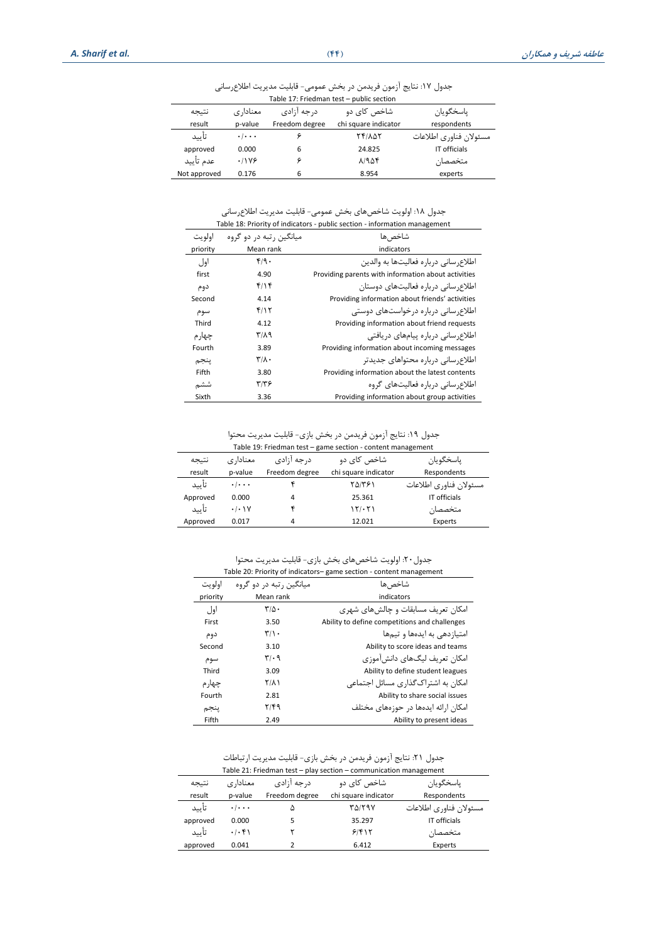جدول ١٧: نتایج آزمون فریدمن در بخش عمومی- قابلیت مدیریت اطلاعرسانی

| Table 17: Friedman test - public section |                                 |                |                      |                        |  |
|------------------------------------------|---------------------------------|----------------|----------------------|------------------------|--|
| نتيجه                                    | معنادا, ی                       | د, جه آ;ادی    | شاخص کای دو          | ياسخگويان              |  |
| result                                   | p-value                         | Freedom degree | chi square indicator | respondents            |  |
| تأييد                                    | $\cdot$ $\cdot$ $\cdot$ $\cdot$ |                | <b>TFILAT</b>        | مسئولان فناوري اطلاعات |  |
| approved                                 | 0.000                           | 6              | 24.825               | IT officials           |  |
| عدم تأييد                                | $.11Y$ ۶                        |                | 81954                | متخصصان                |  |
| Not approved                             | 0.176                           | 6              | 8.954                | experts                |  |

جدول ١٨: اولویت شاخصهای بخش عمومی- قابلیت مدیریت اطلاعرسانی

|          | Table 18: Priority of indicators - public section - information management |                                                     |  |  |
|----------|----------------------------------------------------------------------------|-----------------------------------------------------|--|--|
| اولو ت   | مبانگین , تبه د, دو گروه                                                   | شاخص ها                                             |  |  |
| priority | Mean rank                                                                  | indicators                                          |  |  |
| اول      | f/9.                                                                       | اطلاع, سانی درباره فعالیتها به والدین               |  |  |
| first    | 4.90                                                                       | Providing parents with information about activities |  |  |
| دوم      | ۴/۱۴                                                                       | اطلاع سانی درباره فعالیتهای دوستان                  |  |  |
| Second   | 4.14                                                                       | Providing information about friends' activities     |  |  |
| سوم      | ۴/۱۲                                                                       | اطلاع, سانی درباره درخواستهای دوستی                 |  |  |
| Third    | 4.12                                                                       | Providing information about friend requests         |  |  |
| چهار م   | $T/\lambda$ 9                                                              | اطلاع سانی درباره پیامهای دریافتی                   |  |  |
| Fourth   | 3.89                                                                       | Providing information about incoming messages       |  |  |
| ينجم     | $\mathbf{r}/\mathbf{r}$ .                                                  | اطلاع سانی درباره محتواهای جدیدتر                   |  |  |
| Fifth    | 3.80                                                                       | Providing information about the latest contents     |  |  |
| ششم      | ۳۱۳۶                                                                       | اطلاع سانے وریارہ فعالیتھای گروہ                    |  |  |
| Sixth    | 3.36                                                                       | Providing information about group activities        |  |  |

جدول ١٩: نتایج آزمون فریدمن در بخش بازی- قابلیت مدیریت محتوا Table 19: Friedman test – game section - content management

| Table 19: Friedman test – game secuon - content management |                           |                |                      |                        |
|------------------------------------------------------------|---------------------------|----------------|----------------------|------------------------|
| نتيجه                                                      | معنادا, ی                 | د, جه آ;ادی    | شاخص کای دو          | ياسخگويان              |
| result                                                     | p-value                   | Freedom degree | chi square indicator | Respondents            |
| تأييد                                                      | $\cdot$ / $\cdot$ $\cdot$ |                | ۲۵/۳۶۱               | مسئولان فناوري اطلاعات |
| Approved                                                   | 0.000                     | 4              | 25.361               | IT officials           |
| تأييد                                                      | .1.1V                     |                | 15.51                | متخصصان                |
| Approved                                                   | 0.017                     | 4              | 12.021               | Experts                |

جدول:20 اویویت شاخصهای بتش بازی- قابلیت مدیریت مصتوا

| Table 20: Priority of indicators-game section - content management |                               |                                               |  |
|--------------------------------------------------------------------|-------------------------------|-----------------------------------------------|--|
| اولوت                                                              | میانگین , تبه در دو گروه      | شاخص ها                                       |  |
| priority                                                           | Mean rank                     | indicators                                    |  |
| اول                                                                | $\mathbf{r}/\mathbf{r}$ .     | امکان تعریف مسابقات و چالش های شهری           |  |
| First                                                              | 3.50                          | Ability to define competitions and challenges |  |
| دوم                                                                | $\mathbf{r}/\mathbf{v}$ .     | امتیازدهے به ایدهها و تیمها                   |  |
| Second                                                             | 3.10                          | Ability to score ideas and teams              |  |
| سوم                                                                | $\mathbf{r}/\cdot \mathbf{q}$ | امکان تعریف لیگ&ای دانش آموزی                 |  |
| Third                                                              | 3.09                          | Ability to define student leagues             |  |
| چهار م                                                             | <b>T/A)</b>                   | امکان به اشتراک گذاری مسائل اجتماعی           |  |
| Fourth                                                             | 2.81                          | Ability to share social issues                |  |
| ينجم                                                               | ۲/۴۹                          | امکان ارائه ایدهها در جوزههای مختلف           |  |
| Fifth                                                              | 2.49                          | Ability to present ideas                      |  |

جدول ٢١: نتایج آزمون فریدمن در بخش بازی- قابلیت مدیریت ارتباطات

|          |                     |                | Table 21: Friedman test - play section - communication management |                        |
|----------|---------------------|----------------|-------------------------------------------------------------------|------------------------|
| نتيجه    | معنادا, ی           | د, جه آ;ادی    | شاخص کای دو                                                       | ياسخگويان              |
| result   | p-value             | Freedom degree | chi square indicator                                              | Respondents            |
| تأييد    | $\cdot$ / $\cdot$ . |                | TAIT9V                                                            | مسئولان فناوري اطلاعات |
| approved | 0.000               | 5              | 35.297                                                            | IT officials           |
| تأييد    | .1.51               |                | 91818                                                             | متخصصان                |
| approved | 0.041               |                | 6.412                                                             | Experts                |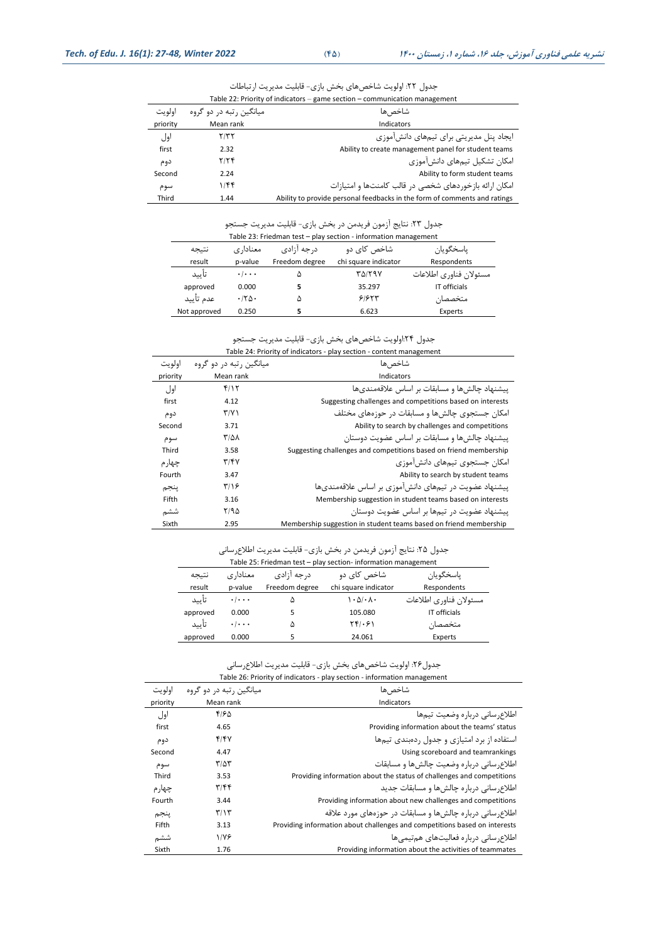| اولو ت   | میانگین , تبه در دو گروه | شاخص ها                                                                   |
|----------|--------------------------|---------------------------------------------------------------------------|
| priority | Mean rank                | Indicators                                                                |
| اول      | ۲/۳۲                     | ایجاد پنل مدیریتی برای تیمهای دانش آموزی                                  |
| first    | 2.32                     | Ability to create management panel for student teams                      |
| دوم      | 7/7f                     | امکان تشکیل تیمهای دانش آموزی                                             |
| Second   | 2.24                     | Ability to form student teams                                             |
| سوم      | ۱/۴۴                     | امکان ارائه بازخوردهای شخصی در قالب کامنتها و امتیازات                    |
| Third    | 1.44                     | Ability to provide personal feedbacks in the form of comments and ratings |

جدول ٢٢: اولویت شاخصهای بخش بازی- قابلیت مدیریت ارتباطات Table 22: Priority of indicators – game section – communication management

## جدول ٢٣: نتایج آزمون فریدمن در بخش بازی- قابلیت مدیریت جستجو

| Table 23: Friedman test - play section - information management |                     |                |                      |                        |
|-----------------------------------------------------------------|---------------------|----------------|----------------------|------------------------|
| نتيجه                                                           | معنادا, ی           | د, جه آ;ادی    | شاخص کای دو          | ياسخگويان              |
| result                                                          | p-value             | Freedom degree | chi square indicator | Respondents            |
| تأييد                                                           | $\cdot$ / $\cdot$ . |                | ۳۵/۲۹۷               | مسئولان فناوري اطلاعات |
| approved                                                        | 0.000               |                | 35.297               | IT officials           |
| عدم تأييد                                                       | .780                | ۵              | 91957                | متخصصان                |
| Not approved                                                    | 0.250               |                | 6.623                | Experts                |

#### جدول ٢۴!ولویت شاخصهای بخش بازی- قابلیت مدیریت جستجو

| Table 24: Priority of indicators - play section - content management |                          |                                                                   |  |
|----------------------------------------------------------------------|--------------------------|-------------------------------------------------------------------|--|
| اولويت                                                               | میانگین , تبه در دو گروه | شاخص ها                                                           |  |
| priority                                                             | Mean rank                | Indicators                                                        |  |
| اول                                                                  | f/Y                      | پیشنهاد چالش ها و مسابقات بر اساس علاقهمندی ها                    |  |
| first                                                                | 4.12                     | Suggesting challenges and competitions based on interests         |  |
| دوم                                                                  | $\Upsilon/\Upsilon$      | امکان جستجوی چالش ها و مسابقات در حوزههای مختلف                   |  |
| Second                                                               | 3.71                     | Ability to search by challenges and competitions                  |  |
| سوم                                                                  | ۳/۵۸                     | پیشنهاد چالش ها و مسابقات بر اساس عضویت دوستان                    |  |
| Third                                                                | 3.58                     | Suggesting challenges and competitions based on friend membership |  |
| چهار م                                                               | T/FV                     | امکان جستجوی تیمهای دانش آموزی                                    |  |
| Fourth                                                               | 3.47                     | Ability to search by student teams                                |  |
| ينجم                                                                 | ۳/۱۶                     | پیشنهاد عضویت در تیمهای دانش آموزی بر اساس علاقهمندیها            |  |
| Fifth                                                                | 3.16                     | Membership suggestion in student teams based on interests         |  |
| ششم                                                                  | ۲/۹۵                     | پیشنهاد عضویت در تیمها بر اساس عضویت دوستان                       |  |
| Sixth                                                                | 2.95                     | Membership suggestion in student teams based on friend membership |  |

### جدول ٢۵: نتایج آزمون فریدمن در بخش بازی- قابلیت مدیریت اطلاعرسانی

| Table 25: Friedman test - play section- information management |                     |                |                                              |                        |
|----------------------------------------------------------------|---------------------|----------------|----------------------------------------------|------------------------|
| نتيجه                                                          | معنادا, ی           | د, جه آ;ادی    | شاخص کای دو                                  | ياسخگويان              |
| result                                                         | p-value             | Freedom degree | chi square indicator                         | Respondents            |
| تأييد                                                          | $\cdot$ / $\cdot$ . | ۵              | $\cdot$ $\Delta$ / $\cdot$ $\Lambda$ $\cdot$ | مسئولان فناوري اطلاعات |
| approved                                                       | 0.000               |                | 105.080                                      | IT officials           |
| تأييد                                                          | $\cdot$ / $\cdot$ . | ۵              | $YF/\cdot F$                                 | متخصصان                |
| approved                                                       | 0.000               |                | 24.061                                       | Experts                |

#### جدول ٢۶: اولویت شاخصهای بخش بازی- قابلیت مدیریت اطلاعرسانی Table 26: Priority of indicators - play section - information management

| اولويت   | میانگین , تبه در دو گروه | شاخص ها                                                                    |
|----------|--------------------------|----------------------------------------------------------------------------|
| priority | Mean rank                | Indicators                                                                 |
| اول      | ۴۱۶۵                     | اطلاع سانی درباره وضعیت تیمها                                              |
| first    | 4.65                     | Providing information about the teams' status                              |
| دوم      | f/fV                     | استفاده از برد امتیازی و جدول ردهبندی تیمها                                |
| Second   | 4.47                     | Using scoreboard and teamrankings                                          |
| سوم      | ۳/۵۳                     | اطلاع سانی درباره وضعیت چالش ها و مسابقات                                  |
| Third    | 3.53                     | Providing information about the status of challenges and competitions      |
| چهار م   | ۳/۴۴                     | اطلاع سانی درباره چالش ها و مسابقات جدید                                   |
| Fourth   | 3.44                     | Providing information about new challenges and competitions                |
| پنجم     | $\mathbf{r}/\mathbf{r}$  | اطلاع سانی درباره چالش ها و مسابقات در حوزههای مورد علاقه                  |
| Fifth    | 3.13                     | Providing information about challenges and competitions based on interests |
| ششم      | 1/YF                     | اطلاع سانی دربارہ فعالیتھای ھہتیمے ھا                                      |
| Sixth    | 1.76                     | Providing information about the activities of teammates                    |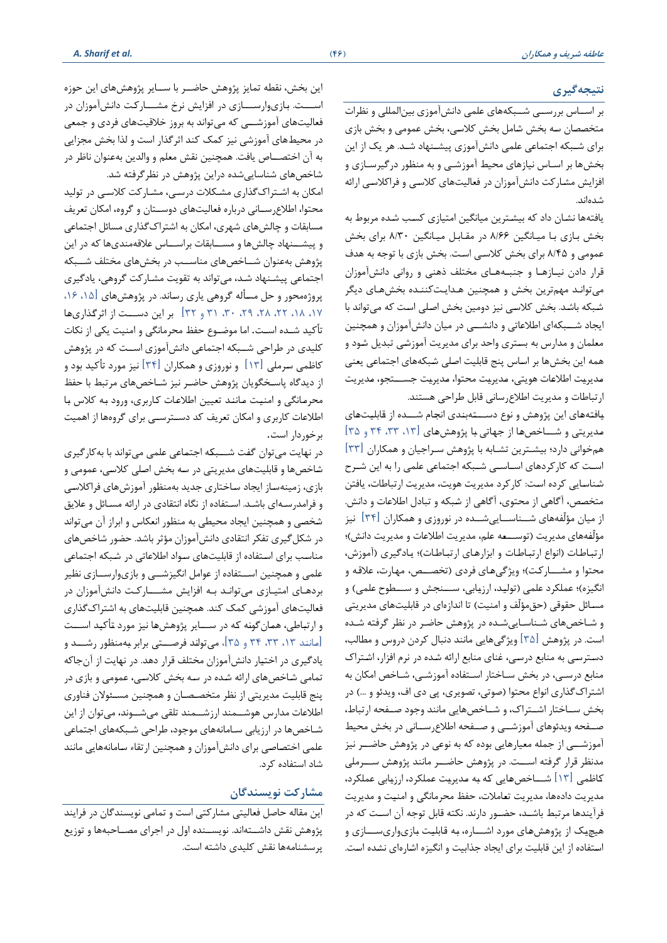# **نتیجهگیری**

بر استتاس بررستتی شتتبکههای علمی دانشآموزی بینایمللی و نظرات متخصصان سه بخش شامل بخش کلاسی، بخش عمومی و بخش بازی برای شتبکه اجتماعی علمی دانشآموزی پیشتنهاد شتدا هر یک از این بتشها بر استاس نیازهای مصیط آموزشتی و به منظور درگیرستازی و افزایش مشارکت دانشآموزان در فعالیتهای کلاسی و فراکلاسی ارائه شدهاندا

یافتهها نشان داد که بیشترین میانگین امتیازی کسب شده مربوط به بخش بازی با میانگین ۸/۶۶ در مقابل میانگین ۸/۳۰ برای بخش عمومی و ۸/۴۵ برای بخش کلاسی است. بخش بازی با توجه به هدف قرار دادن نیـازهـا و جنبـههـای مختلف ذهنی و روانی دانشآموزان میتوانتد مهمترین بتش و همچنین هتدایتتاننتده بتشهتای دیگر شبکه باشد. بخش کلاسی نیز دومین بخش اصلی است که میتواند با ایجاد شــبکهای اطلاعاتی و دانشـــی در میان دانشآموزان و همچنین معلمان و مدارس به بستری واحد برای مدیریت آموزشی تبدیل شود و همه این بخشها بر اساس پنج قابلیت اصلی شبکههای اجتماعی یعنی مدیریت اطلاعات هویتی، مدیریت محتوا، مدیریت جســـتجو، مدیریت ارتباطات و مدیریت اطلاع رسانی قابل طراحی هستند.

یافتههای این پژوهش و نوع دســتهبندی انجام شـــده از قابلیتهای مدیریتی و شساخصها از جهاتی با پژوهشهای [۱۳، ۳۳، ۳۴ و ۲۵] همخوانی دارد؛ بیشـترین تشـابه با پژوهش سـراجیان و همکاران  $\lfloor$ ۳۳ است که کارکردهای اسـاسـی شـبکه اجتماعی علمی را به این شـرح شناسایی کرده است: کارکرد مدیریت هویت، مدیریت ارتباطات، یافتن متخصص، آگاهی از محتوی، آگاهی از شبکه و تبادل اطلاعات و دانش. از میان مؤلّفههای شـــناســـاییشـــده در نوروزی و همکاران  $\lfloor\mathfrak{r}\mathfrak{k}\rfloor$  نیز مؤلّفههای مدیریت (توســـعه علم، مدیریت اطلاعات و مدیریت دانش)؛ ارتباطات (انواع ارتباطات و ابزارهای ارتباطات)؛ یادگیری (آموزش، محتوا و مشـــاركت)؛ ویژگیهای فردی (تخصـــص، مهارت، علاقه و انگیزه)؛ عملکرد علمی (تولید، ارزیابی، ســنجش و ســطوح علمی) و مسائل حقوقی (حقمؤلّف و امنیت) تا اندازهای در قابلیتهای مدیریتی و شتاخصهای شتناستاییشتده در پشوهش ااضتر در نظر گرفته شتده است. در پژوهش  $\lceil \text{\textnormal{a}} \rceil$  ویژگیهایی مانند دنبال کردن دروس و مطالب، دستترستی به منابع درستی، غنای منابع اراله شتده در نرم افزار، اشتتراا منابع درستی، در بتش ستاختار استتااده آموزشتی، شتاخص امکان به اشتراک گذاری انواع محتوا (صوتی، تصویری، پی دی اف، ویدئو و …) در بتش ستتاختار اشتتتراا، و شتتاخصهایی مانند وجود صتتاصه ارتباط، صـفحه ویدئوهای آموزشــی و صـفحه اطلاعرســانی در بخش محیط آموزشـــی از جمله معیارهایی بوده که به نوعی در پژوهش حاضـــر نیز مدنظر قرار گرفته اســت. در پژوهش حاضــر مانند پژوهش ســرملی کاظمی  $[11]$  شـــاخصهایی که به مدیریت عملکرد، ارزیابی عملکرد، مدیریت دادهها، مدیریت تعاملات، حفظ محرمانگی و امنیت و مدیریت فرآیندها مرتبط باشـد، حضـور دارند. نکته قابل توجه آن اسـت که در هیچیک از پژوهشهای مورد اشــاره، به قابلیت بازیواریســازی و استفاده از این قابلیت برای ایجاد جذابیت و انگیزه اشارهای نشده است.

این بخش، نقطه تمایز پژوهش حاضــر با ســـایر پژوهشهای این حوزه اســـت. بـازیوارســــازی در افزایش نرخ مشــــارکت دانشآموزان در فعالیتهای آموزشــی که میتواند به بروز خلاقیتهای فردی و جمعی در محیطهای آموزشی نیز کمک کند اثرگذار است و لذا بخش مجزایی به آن اختصـــاص یافت. همچنین نقش معلم و والدین بهعنوان ناظر در شاخصهای شناساییشده دراین پشوهش در نظرگرفته شدا

امکان به اشتراک گذاری مشکلات درسی، مشارکت کلاسبی در تولید محتوا، اطلاع رسانی درباره فعالیتهای دوستان و گروه، امکان تعریف مسابقات و چالشهای شهری، امکان به اشتراک گذاری مسائل اجتماعی و پیشــنهاد چالشها و مســابقات براســاس علاقهمندیها که در این پژوهش بهعنوان شـــاخصهای مناســب در بخشهای مختلف شـــبکه اجتماعی پیشتنهاد شتد، میتواند به تقویت مشتارات گروهی، یادگیر ی پروژهمحور و حل مسأله گروهی یاری رساند. در پژوهشهای [۱۵، ۱۶، ،17 ،18 ،22 ،28 ،29 ،30 31 و 32[ بر این دستتتت از اثرگتذاری هتا تأکید شــده اســت. اما موضــوع حفظ محرمانگی و امنیت یکی از نکات کلیدی در طراحی شــبکه اجتماعی دانشآموزی اسـت که در پژوهش ااظمی سترملی ]13[ و نوروزی و همکاران ]34[ نیز مورد تأاید بود و از دیدگاه پاسـخگویان پژوهش حاضـر نیز شـاخصهای مرتبط با حفظ محرمانگی و امنیت مانند تعیین اطلاعات کاربری، ورود به کلاس با اطلاعات کاربری و امکان تعریف کد دسترستی برای گروهها از اهمیت برخوردار است.

در نهایت میتوان گفت شــبکه اجتماعی علمی میتواند با به کارگیری شاخصها و قابلیتهای مدیریتی در سه بخش اصلی کلاسی، عمومی و بازی، زمینهساز ایجاد ساختاری جدید بهمنظور آموزشهای فراکلاسی و فرامدرستهای باشتدا استتااده از نگاه انتقادی در اراله مستال و عالیق شخصی و همچنین ایجاد محیطی به منظور انعکاس و ابراز آن میتواند در شکل گیری تفکر انتقادی دانشآموزان مؤثر باشد. حضور شاخصهای مناسب برای استفاده از قابلیتهای سواد اطلاعاتی در شبکه اجتماعی علمی و همچنین اســتفاده از عوامل انگیزشــی و بازیوارســازی نظیر بردهای امتیازی میتواند به افزایش مشتارکت دانشآموزان در فعالیتهای آموزشی کمک کند. همچنین قابلیتهای به اشتراک گذاری و ارتباطی، همانگونه که در ســـایر پژوهشها نیز مورد تأکید اســـت ]متاننتد ،13 ،33 34 و 35[، میتوانتد فرصتتتتی برابر بتهمنظور رشتتتد و یادگیری در اختیار دانشآموزان مختلف قرار دهد. در نهایت از آنجاکه تمامی شاخصهای ارائه شده در سه بخش کلاسی، عمومی و بازی در پنج قابلیت مدیریتی از نظر متخصصان و همچنین مسئولان فناوری اطالعات مدارس هوشتتمند ارزشتتمند تلقی میشتتوند، میتوان از این شاخصها در ارزیابی سامانههای موجود، طراحی شبکههای اجتماعی علمی اختصاصی برای دانشآموزان و همچنین ارتقاء سامانههایی مانند شاد استفاده کرد.

# **مشارکت نویسندگان**

این مقاله حاصل فعالیتی مشارکتی است و تمامی نویسندگان در فرایند پژوهش نقش داشـتهاند. نویســنده اول در اجرای مصــاحبهها و توزیع پرسشنامهها نقش كليدی داشته است.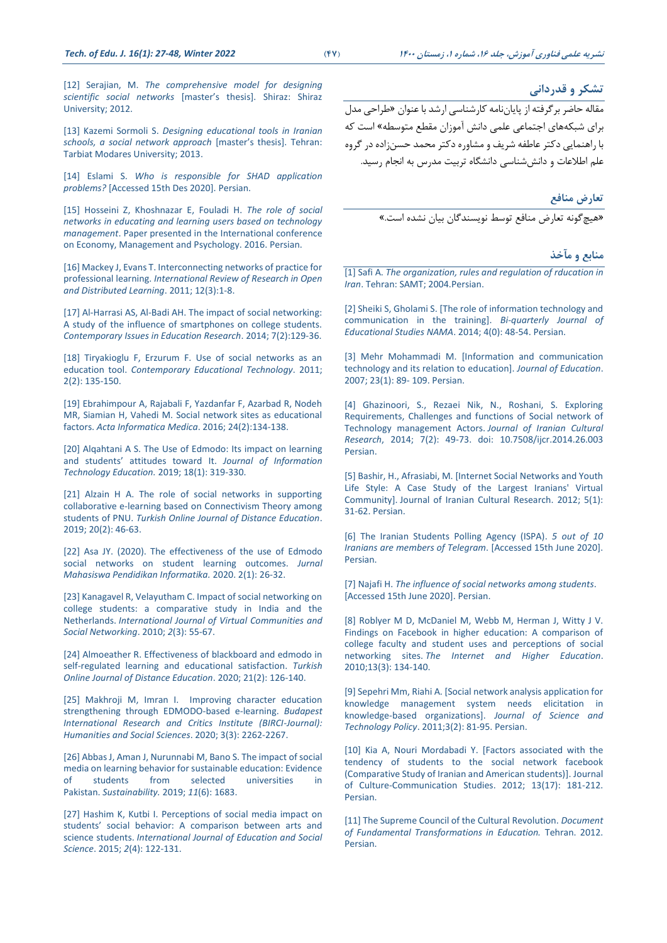[13] Kazemi Sormoli S. *[Designing educational tools in Iranian](https://elmnet.ir/article/10628492-81742/%D8%B7%D8%B1%D8%A7%D8%AD%DB%8C-%D8%A7%D8%A8%D8%B2%D8%A7%D8%B1%D9%87%D8%A7%DB%8C-%D8%A2%D9%85%D9%88%D8%B2%D8%B4%DB%8C-%D8%AF%D8%B1-%D9%85%D8%AF%D8%A7%D8%B1%D8%B3-%D8%A7%DB%8C%D8%B1%D8%A7%D9%86-%D8%A8%D8%A7-%D8%B1%D9%88%DB%8C%DA%A9%D8%B1%D8%AF-%D8%B4%D8%A8%DA%A9%D9%87-%D8%A7%D8%AC%D8%AA%D9%85%D8%A7%D8%B9%DB%8C) [schools, a social network approach](https://elmnet.ir/article/10628492-81742/%D8%B7%D8%B1%D8%A7%D8%AD%DB%8C-%D8%A7%D8%A8%D8%B2%D8%A7%D8%B1%D9%87%D8%A7%DB%8C-%D8%A2%D9%85%D9%88%D8%B2%D8%B4%DB%8C-%D8%AF%D8%B1-%D9%85%D8%AF%D8%A7%D8%B1%D8%B3-%D8%A7%DB%8C%D8%B1%D8%A7%D9%86-%D8%A8%D8%A7-%D8%B1%D9%88%DB%8C%DA%A9%D8%B1%D8%AF-%D8%B4%D8%A8%DA%A9%D9%87-%D8%A7%D8%AC%D8%AA%D9%85%D8%A7%D8%B9%DB%8C)* [master's thesis]. Tehran: [Tarbiat Modares University; 2013.](https://elmnet.ir/article/10628492-81742/%D8%B7%D8%B1%D8%A7%D8%AD%DB%8C-%D8%A7%D8%A8%D8%B2%D8%A7%D8%B1%D9%87%D8%A7%DB%8C-%D8%A2%D9%85%D9%88%D8%B2%D8%B4%DB%8C-%D8%AF%D8%B1-%D9%85%D8%AF%D8%A7%D8%B1%D8%B3-%D8%A7%DB%8C%D8%B1%D8%A7%D9%86-%D8%A8%D8%A7-%D8%B1%D9%88%DB%8C%DA%A9%D8%B1%D8%AF-%D8%B4%D8%A8%DA%A9%D9%87-%D8%A7%D8%AC%D8%AA%D9%85%D8%A7%D8%B9%DB%8C)

[14] Eslami S. *[Who is responsible for SHAD application](https://tejaratnews.com/)  problems?* [\[Accessed 15th Des 2020\]. Persian.](https://tejaratnews.com/)

[15] Hosseini Z, Khoshnazar E, Fouladi H. *[The role of social](https://civilica.com/doc/523506/)  [networks in educating and learning users based on technology](https://civilica.com/doc/523506/)  management*[. Paper presented in the International conference](https://civilica.com/doc/523506/)  [on Economy, Management and Psychology. 2016. Persian.](https://civilica.com/doc/523506/)

[\[16\] Mackey J, Evans T. Interconnecting networks of practice for](https://www.erudit.org/en/journals/irrodl/2011-v12-n3-irrodl05132/1067612ar.pdf)  professional learning. *[International Review of Research in Open](https://www.erudit.org/en/journals/irrodl/2011-v12-n3-irrodl05132/1067612ar.pdf)  [and Distributed Learning](https://www.erudit.org/en/journals/irrodl/2011-v12-n3-irrodl05132/1067612ar.pdf)*. 2011; 12(3):1-8.

[\[17\] Al-Harrasi AS, Al-Badi AH. The impact of social networking:](https://www.researchgate.net/publication/261063239_The_Impact_Of_Social_Networking_A_Study_Of_The_Influence_Of_Smartphones_On_College_Students)  [A study of the influence of smartphones on college students.](https://www.researchgate.net/publication/261063239_The_Impact_Of_Social_Networking_A_Study_Of_The_Influence_Of_Smartphones_On_College_Students)  *[Contemporary Issues in Education Research](https://www.researchgate.net/publication/261063239_The_Impact_Of_Social_Networking_A_Study_Of_The_Influence_Of_Smartphones_On_College_Students)*. 2014; 7(2):129-36.

[18] Tiryakioglu F, Erzurum F. Use of social networks as an education tool. *[Contemporary Educational Technology](https://www.semanticscholar.org/paper/Use-of-Social-Networks-as-an-Educational-Tool-Tiryakioglu-Erzurum/08b91ff4517b1a7dada616adb66f122bb02ee669)*. 2011; [2\(2\): 135-150.](https://www.semanticscholar.org/paper/Use-of-Social-Networks-as-an-Educational-Tool-Tiryakioglu-Erzurum/08b91ff4517b1a7dada616adb66f122bb02ee669)

[\[19\] Ebrahimpour A, Rajabali F, Yazdanfar F, Azarbad R, Nodeh](http://europepmc.org/article/PMC/4851518)  [MR, Siamian H, Vahedi M. Social network sites as educational](http://europepmc.org/article/PMC/4851518)  factors. *[Acta Informatica Medica](http://europepmc.org/article/PMC/4851518)*. 2016; 24(2):134-138.

[20] Algahtani A S. The Use of Edmodo: Its impact on learning and students' attitudes toward It. *[Journal of Information](http://www.jite.org/documents/Vol18/JITEv18ResearchP319-330Alqahtani5630.pdf)  [Technology Education.](http://www.jite.org/documents/Vol18/JITEv18ResearchP319-330Alqahtani5630.pdf)* 2019; 18(1): 319-330.

[\[21\] Alzain H A. The role of social networks in supporting](https://files.eric.ed.gov/fulltext/EJ1213120.pdf)  [collaborative e-learning based on Connectivism Theory among](https://files.eric.ed.gov/fulltext/EJ1213120.pdf)  students of PNU. *[Turkish Online Journal of Distance Education](https://files.eric.ed.gov/fulltext/EJ1213120.pdf)*. [2019; 20\(2\): 46-63.](https://files.eric.ed.gov/fulltext/EJ1213120.pdf)

[22] Asa JY. (2020). The effectiveness of the use of Edmodo social networks on student learning outcomes. *Jurnal Mahasiswa Pendidikan Informatika.* 2020. 2(1): 26-32.

[\[23\] Kanagavel R, Velayutham C. Impact of social networking on](https://www.igi-global.com/article/impact-social-networking-college-students/49704)  [college students: a comparative study in India and the](https://www.igi-global.com/article/impact-social-networking-college-students/49704)  Netherlands. *[International Journal of Virtual Communities and](https://www.igi-global.com/article/impact-social-networking-college-students/49704)  [Social Networking](https://www.igi-global.com/article/impact-social-networking-college-students/49704)*. 2010; *2*(3): 55-67.

[\[24\] Almoeather R. Effectiveness of blackboard and edmodo in](https://eric.ed.gov/?id=EJ1251136)  [self-regulated learning and educational satisfaction.](https://eric.ed.gov/?id=EJ1251136) *Turkish [Online Journal of Distance Education](https://eric.ed.gov/?id=EJ1251136)*. 2020; 21(2): 126-140.

[25] Makhroji M, Imran I. Improving character education strengthening through EDMODO-based e-learning. *Budapest International Research and Critics Institute (BIRCI-Journal): Humanities and Social Sciences*. 2020; 3(3): 2262-2267.

[\[26\] Abbas J, Aman J, Nurunnabi M, Bano S. The impact of social](https://www.mdpi.com/2071-1050/11/6/1683)  media on learning behavior for sustainable education: Evidence<br>of students from selected universities in universities in Pakistan. *[Sustainability.](https://www.mdpi.com/2071-1050/11/6/1683)* 2019; *11*(6): 1683.

[\[27\] Hashim K, Kutbi I. Perceptions of social media impact on](https://www.researchgate.net/publication/305451321_Perceptions_of_Social_Media_Impact_on_Social_Behavior_of_Students_A_Comparison_between_Students_and_Faculty)  students' social beha[vior: A comparison between arts and](https://www.researchgate.net/publication/305451321_Perceptions_of_Social_Media_Impact_on_Social_Behavior_of_Students_A_Comparison_between_Students_and_Faculty)  science students. *[International Journal of Education and Social](https://www.researchgate.net/publication/305451321_Perceptions_of_Social_Media_Impact_on_Social_Behavior_of_Students_A_Comparison_between_Students_and_Faculty)  Science*. 2015; *2*[\(4\): 122-131.](https://www.researchgate.net/publication/305451321_Perceptions_of_Social_Media_Impact_on_Social_Behavior_of_Students_A_Comparison_between_Students_and_Faculty)

**تشکر و قدردانی**

مقاله حاضر برگرفته از پایان نامه کارشناسی ارشد با عنوان «طراحی مدل برای شبکههای اجتماعی علمی دانش آموزان مقطع متوسطه» است که با راهنمایی دکتر عاطفه شریف و مشاوره دکتر محمد حسن;اده در گروه علم اطلاعات و دانش شناسی دانشگاه تربیت مدرس به انجام رسید.

> **تعارض منافع** »هیچگونه تاارض منافع توسط نویسندگان بیان نشده استا«

> > **منابع و مآخذ**

[1] Safi A. *[The organization, rules and regulation of rducation in](https://samta.samt.ac.ir/content/9123/%D8%B3%D8%A7%D8%B2%D9%85%D8%A7%D9%86-%D9%88-%D9%82%D9%88%D8%A7%D9%86%DB%8C%D9%86-%D8%A2%D9%85%D9%88%D8%B2%D8%B4-%D9%88-%D9%BE%D8%B1%D9%88%D8%B1%D8%B4-%D8%A7%DB%8C%D8%B1%D8%A7%D9%86)  Iran*[. Tehran: SAMT; 2004.Persian.](https://samta.samt.ac.ir/content/9123/%D8%B3%D8%A7%D8%B2%D9%85%D8%A7%D9%86-%D9%88-%D9%82%D9%88%D8%A7%D9%86%DB%8C%D9%86-%D8%A2%D9%85%D9%88%D8%B2%D8%B4-%D9%88-%D9%BE%D8%B1%D9%88%D8%B1%D8%B4-%D8%A7%DB%8C%D8%B1%D8%A7%D9%86)

[\[2\] Sheiki S, Gholami S. \[The role of information technology and](http://nama.ajaums.ac.ir/browse.php?a_code=A-10-1-102&slc_lang=fa&sid=1)  [communication in the training\].](http://nama.ajaums.ac.ir/browse.php?a_code=A-10-1-102&slc_lang=fa&sid=1) *Bi-quarterly Journal of Educational Studies NAMA*[. 2014; 4\(0\): 48-54. Persian.](http://nama.ajaums.ac.ir/browse.php?a_code=A-10-1-102&slc_lang=fa&sid=1)

[3] Mehr [Mohammadi M. \[Information and communication](http://ensani.ir/fa/article/168486/%D9%81%D9%86-%D8%A2%D9%88%D8%B1%DB%8C-%D8%A7%D8%B7%D9%84%D8%A7%D8%B9%D8%A7%D8%AA-%D9%88-%D8%A7%D8%B1%D8%AA%D8%A8%D8%A7%D8%B7%D8%A7%D8%AA-%D9%88-%D9%86%D8%B3%D8%A8%D8%AA-%D8%A2%D9%86-%D8%A8%D8%A7-%D8%A2%D9%85%D9%88%D8%B2%D8%B4-%D9%88-%D9%BE%D8%B1%D9%88%D8%B1%D8%B4)  [technology and its relation to education\].](http://ensani.ir/fa/article/168486/%D9%81%D9%86-%D8%A2%D9%88%D8%B1%DB%8C-%D8%A7%D8%B7%D9%84%D8%A7%D8%B9%D8%A7%D8%AA-%D9%88-%D8%A7%D8%B1%D8%AA%D8%A8%D8%A7%D8%B7%D8%A7%D8%AA-%D9%88-%D9%86%D8%B3%D8%A8%D8%AA-%D8%A2%D9%86-%D8%A8%D8%A7-%D8%A2%D9%85%D9%88%D8%B2%D8%B4-%D9%88-%D9%BE%D8%B1%D9%88%D8%B1%D8%B4) *Journal of Education*. [2007; 23\(1\): 89-](http://ensani.ir/fa/article/168486/%D9%81%D9%86-%D8%A2%D9%88%D8%B1%DB%8C-%D8%A7%D8%B7%D9%84%D8%A7%D8%B9%D8%A7%D8%AA-%D9%88-%D8%A7%D8%B1%D8%AA%D8%A8%D8%A7%D8%B7%D8%A7%D8%AA-%D9%88-%D9%86%D8%B3%D8%A8%D8%AA-%D8%A2%D9%86-%D8%A8%D8%A7-%D8%A2%D9%85%D9%88%D8%B2%D8%B4-%D9%88-%D9%BE%D8%B1%D9%88%D8%B1%D8%B4) 109. Persian.

[4] Ghazinoori, S., Rezaei Nik, N., Roshani, S. Exploring Requirements, Challenges and functions of Social network of Technology management Actors. *Journal of Iranian Cultural Research*, 2014; 7(2): 49-73. doi: 10.7508/ijcr.2014.26.003 Persian.

[\[5\] Bashir, H., Afrasiabi, M. \[Internet Social Networks and Youth](http://www.jicr.ir/article_221_en.html)  [Life Style: A Case Study of the Largest Iranians' Virtual](http://www.jicr.ir/article_221_en.html)  Community]. [Journal of Iranian Cultural Research.](http://www.jicr.ir/article_221_en.html) 2012; 5(1): [31-62. Persian.](http://www.jicr.ir/article_221_en.html)

[\[6\] The Iranian Students Polling Agency \(ISPA\).](http://www.ispa.ir/) *5 out of 10 [Iranians are members of Telegram](http://www.ispa.ir/)*. [Accessed 15th June 2020]. [Persian.](http://www.ispa.ir/)

[7] Najafi H. *[The influence of social networks among students](https://www.magiran.com/article/2948781‎)*. [\[Accessed 15th June 2020\]. Persian.](https://www.magiran.com/article/2948781‎)

[\[8\] Roblyer M D, McDaniel M, Webb M, Herman J, Witty J V.](https://www.sciencedirect.com/science/article/abs/pii/S1096751610000278)  [Findings on Facebook in higher education: A comparison of](https://www.sciencedirect.com/science/article/abs/pii/S1096751610000278)  [college faculty and student uses and perceptions of social](https://www.sciencedirect.com/science/article/abs/pii/S1096751610000278)  networking sites. *[The Internet and Higher Education](https://www.sciencedirect.com/science/article/abs/pii/S1096751610000278)*. [2010;13\(3\): 134-140.](https://www.sciencedirect.com/science/article/abs/pii/S1096751610000278)

[\[9\] Sepehri Mm, Riahi A. \[Social network analysis application for](https://www.sid.ir/fa/JOURNAL/ViewPaper.aspx?id=121318)  [knowledge management system needs elicitation in](https://www.sid.ir/fa/JOURNAL/ViewPaper.aspx?id=121318)  [knowledge-based organizations\].](https://www.sid.ir/fa/JOURNAL/ViewPaper.aspx?id=121318) *Journal of Science and Technology Policy*[. 2011;3\(2\): 81-95. Persian.](https://www.sid.ir/fa/JOURNAL/ViewPaper.aspx?id=121318)

[\[10\] Kia A, Nouri Mordabadi Y. \[Factors associated with the](http://www.jccs.ir/article_3382.html)  [tendency of students to the social network facebook](http://www.jccs.ir/article_3382.html)  [\(Comparative Study of Iranian and American students\)\].](http://www.jccs.ir/article_3382.html) Journal [of Culture-Communication Studies.](http://www.jccs.ir/article_3382.html) 2012; 13(17): 181-212. [Persian.](http://www.jccs.ir/article_3382.html)

[\[11\] The Supreme Council of the Cultural Revolution.](https://sccr.ir/Files/6609.pdf) *Document [of Fundamental Transformations in Education.](https://sccr.ir/Files/6609.pdf)* Tehran. 2012. [Persian.](https://sccr.ir/Files/6609.pdf)